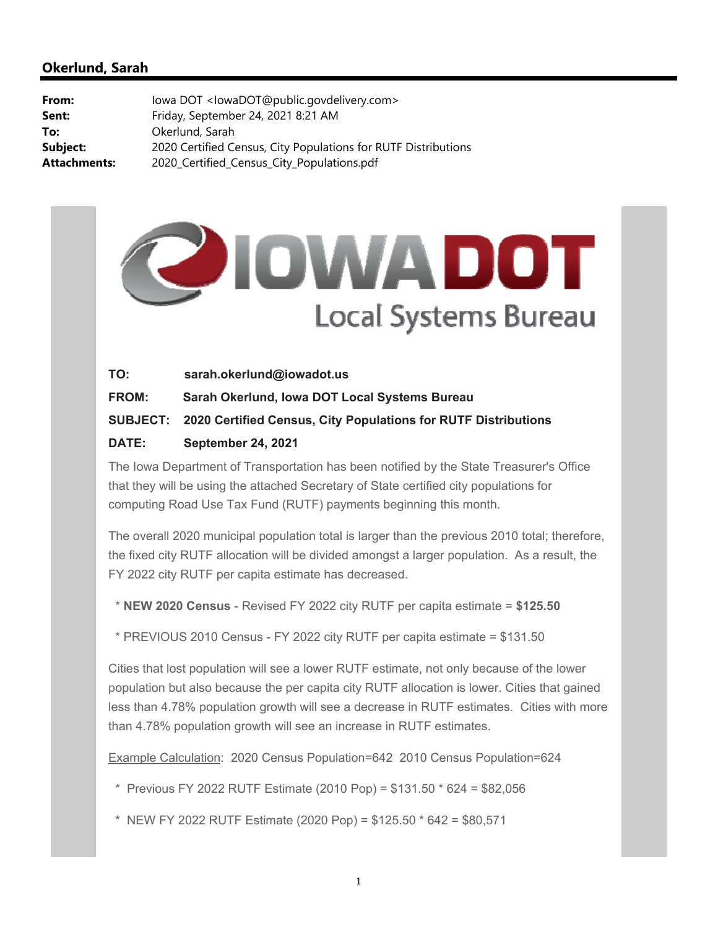## **Okerlund, Sarah**

| lowa DOT <lowadot@public.govdelivery.com></lowadot@public.govdelivery.com> |
|----------------------------------------------------------------------------|
| Friday, September 24, 2021 8:21 AM                                         |
| Okerlund, Sarah                                                            |
| 2020 Certified Census, City Populations for RUTF Distributions             |
| 2020_Certified_Census_City_Populations.pdf                                 |
|                                                                            |

## **PIOWADOT** Local Systems Bureau

| TO:          | sarah.okerlund@iowadot.us                                               |
|--------------|-------------------------------------------------------------------------|
| <b>FROM:</b> | Sarah Okerlund, Iowa DOT Local Systems Bureau                           |
|              | SUBJECT: 2020 Certified Census, City Populations for RUTF Distributions |
| <b>DATE:</b> | <b>September 24, 2021</b>                                               |

The Iowa Department of Transportation has been notified by the State Treasurer's Office that they will be using the attached Secretary of State certified city populations for computing Road Use Tax Fund (RUTF) payments beginning this month.

The overall 2020 municipal population total is larger than the previous 2010 total; therefore, the fixed city RUTF allocation will be divided amongst a larger population. As a result, the FY 2022 city RUTF per capita estimate has decreased.

\* **NEW 2020 Census** - Revised FY 2022 city RUTF per capita estimate = **\$125.50**

\* PREVIOUS 2010 Census - FY 2022 city RUTF per capita estimate = \$131.50

Cities that lost population will see a lower RUTF estimate, not only because of the lower population but also because the per capita city RUTF allocation is lower. Cities that gained less than 4.78% population growth will see a decrease in RUTF estimates. Cities with more than 4.78% population growth will see an increase in RUTF estimates.

Example Calculation: 2020 Census Population=642 2010 Census Population=624

\* Previous FY 2022 RUTF Estimate (2010 Pop) = \$131.50 \* 624 = \$82,056

\* NEW FY 2022 RUTF Estimate (2020 Pop) = \$125.50 \* 642 = \$80,571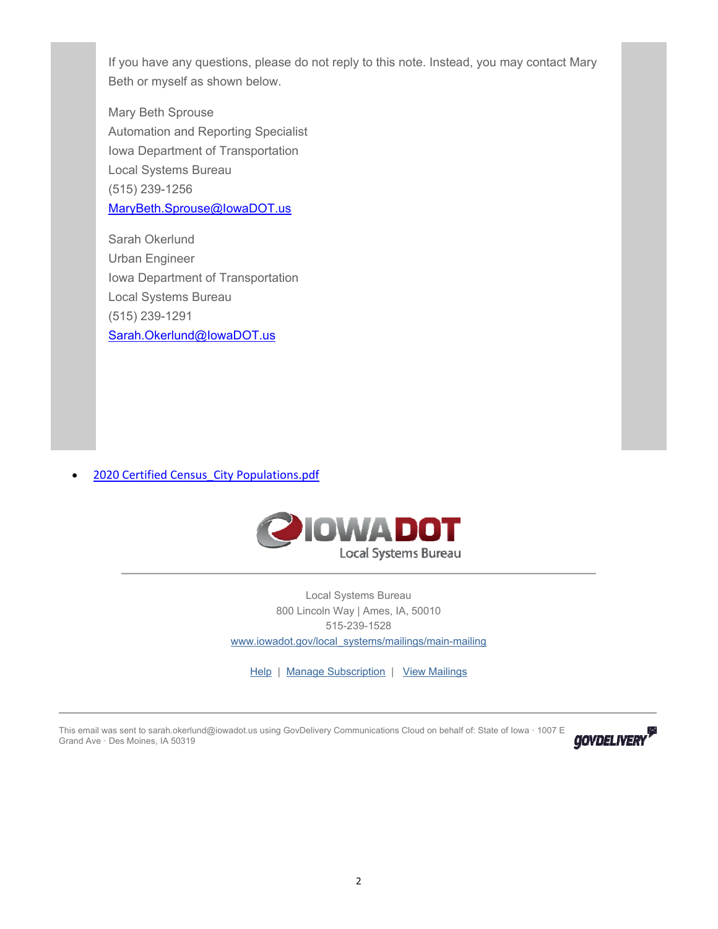If you have any questions, please do not reply to this note. Instead, you may contact Mary Beth or myself as shown below.

Mary Beth Sprouse Automation and Reporting Specialist Iowa Department of Transportation Local Systems Bureau (515) 239-1256 MaryBeth.Sprouse@IowaDOT.us

Sarah Okerlund Urban Engineer Iowa Department of Transportation Local Systems Bureau (515) 239-1291 Sarah.Okerlund@IowaDOT.us

2020 Certified Census\_City Populations.pdf



Local Systems Bureau 800 Lincoln Way | Ames, IA, 50010 515-239-1528 www.iowadot.gov/local\_systems/mailings/main-mailing

Help | Manage Subscription | View Mailings

This email was sent to sarah.okerlund@iowadot.us using GovDelivery Communications Cloud on behalf of: State of Iowa · 1007 E Grand Ave · Des Moines, IA 50319

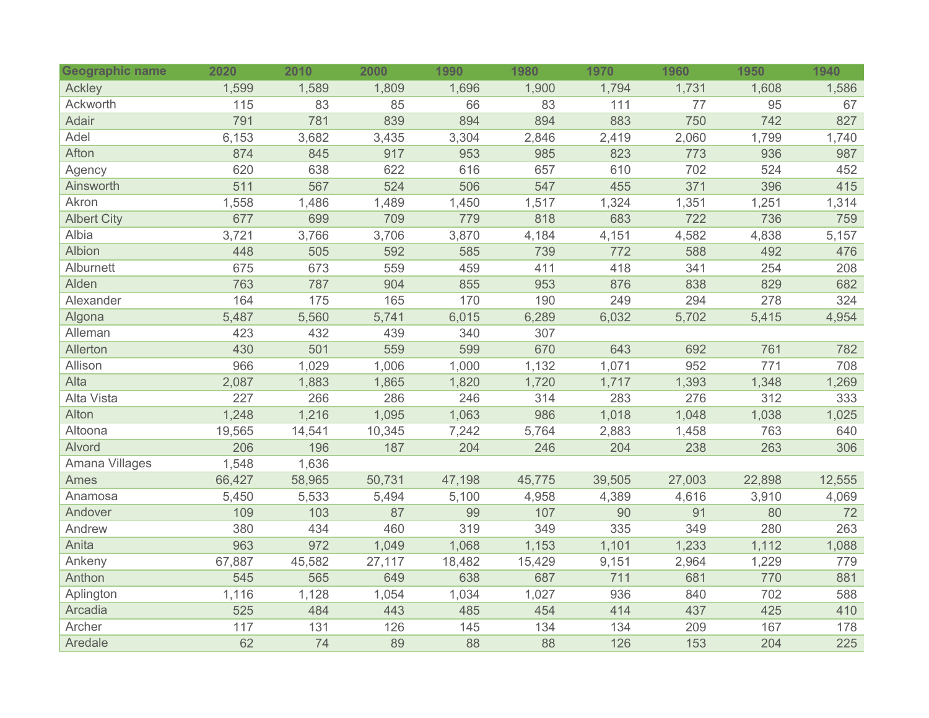| <b>Geographic name</b> | 2020   | 2010   | 2000   | 1990   | 1980   | 1970   | 1960   | 1950   | 1940   |
|------------------------|--------|--------|--------|--------|--------|--------|--------|--------|--------|
| Ackley                 | 1,599  | 1,589  | 1,809  | 1,696  | 1,900  | 1,794  | 1,731  | 1,608  | 1,586  |
| Ackworth               | 115    | 83     | 85     | 66     | 83     | 111    | 77     | 95     | 67     |
| Adair                  | 791    | 781    | 839    | 894    | 894    | 883    | 750    | 742    | 827    |
| Adel                   | 6,153  | 3,682  | 3,435  | 3,304  | 2,846  | 2,419  | 2,060  | 1,799  | 1,740  |
| Afton                  | 874    | 845    | 917    | 953    | 985    | 823    | 773    | 936    | 987    |
| Agency                 | 620    | 638    | 622    | 616    | 657    | 610    | 702    | 524    | 452    |
| Ainsworth              | 511    | 567    | 524    | 506    | 547    | 455    | 371    | 396    | 415    |
| Akron                  | 1,558  | 1,486  | 1,489  | 1,450  | 1,517  | 1,324  | 1,351  | 1,251  | 1,314  |
| <b>Albert City</b>     | 677    | 699    | 709    | 779    | 818    | 683    | 722    | 736    | 759    |
| Albia                  | 3,721  | 3,766  | 3,706  | 3,870  | 4,184  | 4,151  | 4,582  | 4,838  | 5,157  |
| Albion                 | 448    | 505    | 592    | 585    | 739    | 772    | 588    | 492    | 476    |
| Alburnett              | 675    | 673    | 559    | 459    | 411    | 418    | 341    | 254    | 208    |
| Alden                  | 763    | 787    | 904    | 855    | 953    | 876    | 838    | 829    | 682    |
| Alexander              | 164    | 175    | 165    | 170    | 190    | 249    | 294    | 278    | 324    |
| Algona                 | 5,487  | 5,560  | 5,741  | 6,015  | 6,289  | 6,032  | 5,702  | 5,415  | 4,954  |
| Alleman                | 423    | 432    | 439    | 340    | 307    |        |        |        |        |
| Allerton               | 430    | 501    | 559    | 599    | 670    | 643    | 692    | 761    | 782    |
| Allison                | 966    | 1,029  | 1,006  | 1,000  | 1,132  | 1,071  | 952    | 771    | 708    |
| Alta                   | 2,087  | 1,883  | 1,865  | 1,820  | 1,720  | 1,717  | 1,393  | 1,348  | 1,269  |
| Alta Vista             | 227    | 266    | 286    | 246    | 314    | 283    | 276    | 312    | 333    |
| Alton                  | 1,248  | 1,216  | 1,095  | 1,063  | 986    | 1,018  | 1,048  | 1,038  | 1,025  |
| Altoona                | 19,565 | 14,541 | 10,345 | 7,242  | 5,764  | 2,883  | 1,458  | 763    | 640    |
| Alvord                 | 206    | 196    | 187    | 204    | 246    | 204    | 238    | 263    | 306    |
| Amana Villages         | 1,548  | 1,636  |        |        |        |        |        |        |        |
| Ames                   | 66,427 | 58,965 | 50,731 | 47,198 | 45,775 | 39,505 | 27,003 | 22,898 | 12,555 |
| Anamosa                | 5,450  | 5,533  | 5,494  | 5,100  | 4,958  | 4,389  | 4,616  | 3,910  | 4,069  |
| Andover                | 109    | 103    | 87     | 99     | 107    | 90     | 91     | 80     | 72     |
| Andrew                 | 380    | 434    | 460    | 319    | 349    | 335    | 349    | 280    | 263    |
| Anita                  | 963    | 972    | 1,049  | 1,068  | 1,153  | 1,101  | 1,233  | 1,112  | 1,088  |
| Ankeny                 | 67,887 | 45,582 | 27,117 | 18,482 | 15,429 | 9,151  | 2,964  | 1,229  | 779    |
| Anthon                 | 545    | 565    | 649    | 638    | 687    | 711    | 681    | 770    | 881    |
| Aplington              | 1,116  | 1,128  | 1,054  | 1,034  | 1,027  | 936    | 840    | 702    | 588    |
| Arcadia                | 525    | 484    | 443    | 485    | 454    | 414    | 437    | 425    | 410    |
| Archer                 | 117    | 131    | 126    | 145    | 134    | 134    | 209    | 167    | 178    |
| Aredale                | 62     | 74     | 89     | 88     | 88     | 126    | 153    | 204    | 225    |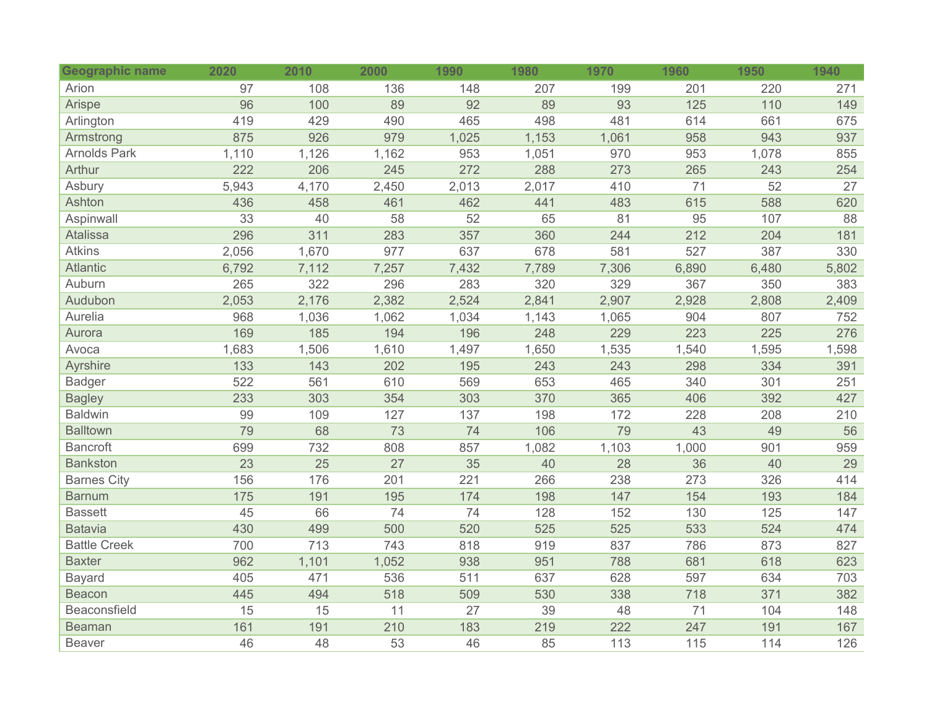| Geographic name     | 2020  | 2010            | 2000            | 1990  | 1980  | 1970  | 1960  | 1950  | 1940  |
|---------------------|-------|-----------------|-----------------|-------|-------|-------|-------|-------|-------|
| Arion               | 97    | 108             | 136             | 148   | 207   | 199   | 201   | 220   | 271   |
| Arispe              | 96    | 100             | 89              | 92    | 89    | 93    | 125   | 110   | 149   |
| Arlington           | 419   | 429             | 490             | 465   | 498   | 481   | 614   | 661   | 675   |
| Armstrong           | 875   | 926             | 979             | 1,025 | 1,153 | 1,061 | 958   | 943   | 937   |
| <b>Arnolds Park</b> | 1,110 | 1,126           | 1,162           | 953   | 1,051 | 970   | 953   | 1,078 | 855   |
| <b>Arthur</b>       | 222   | 206             | 245             | 272   | 288   | 273   | 265   | 243   | 254   |
| Asbury              | 5,943 | 4,170           | 2,450           | 2,013 | 2,017 | 410   | 71    | 52    | 27    |
| Ashton              | 436   | 458             | 461             | 462   | 441   | 483   | 615   | 588   | 620   |
| Aspinwall           | 33    | 40              | 58              | 52    | 65    | 81    | 95    | 107   | 88    |
| <b>Atalissa</b>     | 296   | 311             | 283             | 357   | 360   | 244   | 212   | 204   | 181   |
| <b>Atkins</b>       | 2,056 | 1,670           | 977             | 637   | 678   | 581   | 527   | 387   | 330   |
| <b>Atlantic</b>     | 6,792 | 7,112           | 7,257           | 7,432 | 7,789 | 7,306 | 6,890 | 6,480 | 5,802 |
| Auburn              | 265   | 322             | 296             | 283   | 320   | 329   | 367   | 350   | 383   |
| Audubon             | 2,053 | 2,176           | 2,382           | 2,524 | 2,841 | 2,907 | 2,928 | 2,808 | 2,409 |
| Aurelia             | 968   | 1,036           | 1,062           | 1,034 | 1,143 | 1,065 | 904   | 807   | 752   |
| Aurora              | 169   | 185             | 194             | 196   | 248   | 229   | 223   | 225   | 276   |
| Avoca               | 1,683 | 1,506           | 1,610           | 1,497 | 1,650 | 1,535 | 1,540 | 1,595 | 1,598 |
| Ayrshire            | 133   | 143             | 202             | 195   | 243   | 243   | 298   | 334   | 391   |
| <b>Badger</b>       | 522   | 561             | 610             | 569   | 653   | 465   | 340   | 301   | 251   |
| <b>Bagley</b>       | 233   | 303             | 354             | 303   | 370   | 365   | 406   | 392   | 427   |
| <b>Baldwin</b>      | 99    | 109             | 127             | 137   | 198   | 172   | 228   | 208   | 210   |
| <b>Balltown</b>     | 79    | 68              | 73              | 74    | 106   | 79    | 43    | 49    | 56    |
| <b>Bancroft</b>     | 699   | 732             | 808             | 857   | 1,082 | 1,103 | 1,000 | 901   | 959   |
| <b>Bankston</b>     | 23    | $\overline{25}$ | $\overline{27}$ | 35    | 40    | 28    | 36    | 40    | 29    |
| <b>Barnes City</b>  | 156   | 176             | 201             | 221   | 266   | 238   | 273   | 326   | 414   |
| <b>Barnum</b>       | 175   | 191             | 195             | 174   | 198   | 147   | 154   | 193   | 184   |
| <b>Bassett</b>      | 45    | 66              | 74              | 74    | 128   | 152   | 130   | 125   | 147   |
| <b>Batavia</b>      | 430   | 499             | 500             | 520   | 525   | 525   | 533   | 524   | 474   |
| <b>Battle Creek</b> | 700   | 713             | 743             | 818   | 919   | 837   | 786   | 873   | 827   |
| <b>Baxter</b>       | 962   | 1,101           | 1,052           | 938   | 951   | 788   | 681   | 618   | 623   |
| <b>Bayard</b>       | 405   | 471             | 536             | 511   | 637   | 628   | 597   | 634   | 703   |
| <b>Beacon</b>       | 445   | 494             | 518             | 509   | 530   | 338   | 718   | 371   | 382   |
| Beaconsfield        | 15    | 15              | 11              | 27    | 39    | 48    | 71    | 104   | 148   |
| <b>Beaman</b>       | 161   | 191             | 210             | 183   | 219   | 222   | 247   | 191   | 167   |
| <b>Beaver</b>       | 46    | 48              | 53              | 46    | 85    | 113   | 115   | 114   | 126   |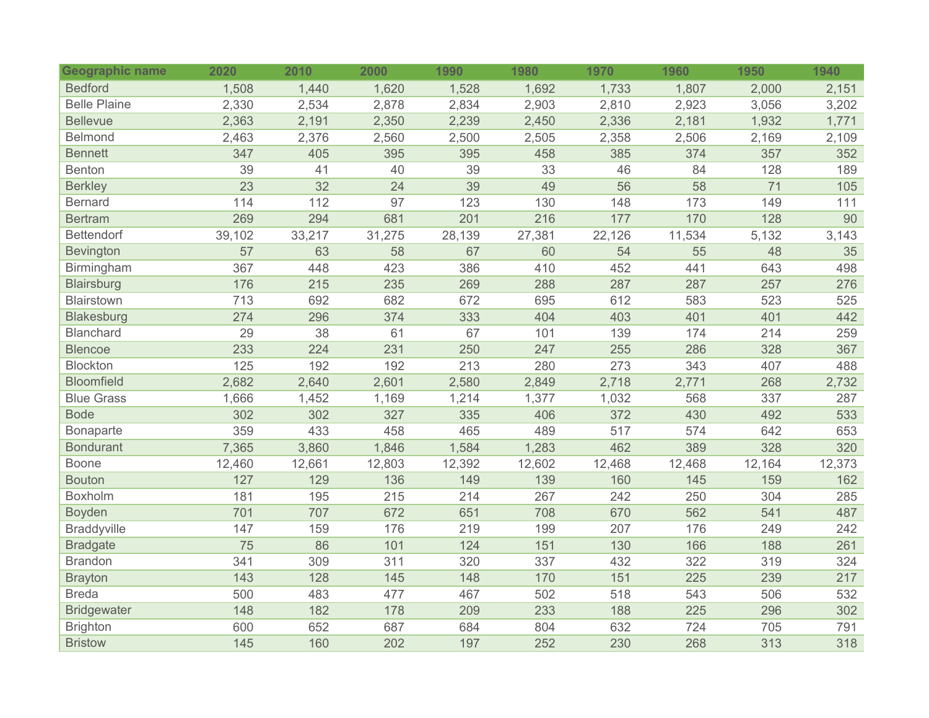| <b>Geographic name</b> | 2020   | 2010   | 2000   | 1990   | 1980   | 1970   | 1960   | 1950   | 1940   |
|------------------------|--------|--------|--------|--------|--------|--------|--------|--------|--------|
| <b>Bedford</b>         | 1,508  | 1,440  | 1,620  | 1,528  | 1,692  | 1,733  | 1,807  | 2,000  | 2,151  |
| <b>Belle Plaine</b>    | 2,330  | 2,534  | 2,878  | 2,834  | 2,903  | 2,810  | 2,923  | 3,056  | 3,202  |
| <b>Bellevue</b>        | 2,363  | 2,191  | 2,350  | 2,239  | 2,450  | 2,336  | 2,181  | 1,932  | 1,771  |
| Belmond                | 2,463  | 2,376  | 2,560  | 2,500  | 2,505  | 2,358  | 2,506  | 2,169  | 2,109  |
| <b>Bennett</b>         | 347    | 405    | 395    | 395    | 458    | 385    | 374    | 357    | 352    |
| <b>Benton</b>          | 39     | 41     | 40     | 39     | 33     | 46     | 84     | 128    | 189    |
| <b>Berkley</b>         | 23     | 32     | 24     | 39     | 49     | 56     | 58     | 71     | 105    |
| <b>Bernard</b>         | 114    | 112    | 97     | 123    | 130    | 148    | 173    | 149    | 111    |
| <b>Bertram</b>         | 269    | 294    | 681    | 201    | 216    | 177    | 170    | 128    | 90     |
| <b>Bettendorf</b>      | 39,102 | 33,217 | 31,275 | 28,139 | 27,381 | 22,126 | 11,534 | 5,132  | 3,143  |
| Bevington              | 57     | 63     | 58     | 67     | 60     | 54     | 55     | 48     | 35     |
| Birmingham             | 367    | 448    | 423    | 386    | 410    | 452    | 441    | 643    | 498    |
| <b>Blairsburg</b>      | 176    | 215    | 235    | 269    | 288    | 287    | 287    | 257    | 276    |
| Blairstown             | 713    | 692    | 682    | 672    | 695    | 612    | 583    | 523    | 525    |
| <b>Blakesburg</b>      | 274    | 296    | 374    | 333    | 404    | 403    | 401    | 401    | 442    |
| <b>Blanchard</b>       | 29     | 38     | 61     | 67     | 101    | 139    | 174    | 214    | 259    |
| <b>Blencoe</b>         | 233    | 224    | 231    | 250    | 247    | 255    | 286    | 328    | 367    |
| <b>Blockton</b>        | 125    | 192    | 192    | 213    | 280    | 273    | 343    | 407    | 488    |
| <b>Bloomfield</b>      | 2,682  | 2,640  | 2,601  | 2,580  | 2,849  | 2,718  | 2,771  | 268    | 2,732  |
| <b>Blue Grass</b>      | 1,666  | 1,452  | 1,169  | 1,214  | 1,377  | 1,032  | 568    | 337    | 287    |
| <b>Bode</b>            | 302    | 302    | 327    | 335    | 406    | 372    | 430    | 492    | 533    |
| <b>Bonaparte</b>       | 359    | 433    | 458    | 465    | 489    | 517    | 574    | 642    | 653    |
| <b>Bondurant</b>       | 7,365  | 3,860  | 1,846  | 1,584  | 1,283  | 462    | 389    | 328    | 320    |
| <b>Boone</b>           | 12,460 | 12,661 | 12,803 | 12,392 | 12,602 | 12,468 | 12,468 | 12,164 | 12,373 |
| <b>Bouton</b>          | 127    | 129    | 136    | 149    | 139    | 160    | 145    | 159    | 162    |
| Boxholm                | 181    | 195    | 215    | 214    | 267    | 242    | 250    | 304    | 285    |
| <b>Boyden</b>          | 701    | 707    | 672    | 651    | 708    | 670    | 562    | 541    | 487    |
| <b>Braddyville</b>     | 147    | 159    | 176    | 219    | 199    | 207    | 176    | 249    | 242    |
| <b>Bradgate</b>        | 75     | 86     | 101    | 124    | 151    | 130    | 166    | 188    | 261    |
| <b>Brandon</b>         | 341    | 309    | 311    | 320    | 337    | 432    | 322    | 319    | 324    |
| <b>Brayton</b>         | 143    | 128    | 145    | 148    | 170    | 151    | 225    | 239    | 217    |
| <b>Breda</b>           | 500    | 483    | 477    | 467    | 502    | 518    | 543    | 506    | 532    |
| <b>Bridgewater</b>     | 148    | 182    | 178    | 209    | 233    | 188    | 225    | 296    | 302    |
| <b>Brighton</b>        | 600    | 652    | 687    | 684    | 804    | 632    | 724    | 705    | 791    |
| <b>Bristow</b>         | 145    | 160    | 202    | 197    | 252    | 230    | 268    | 313    | 318    |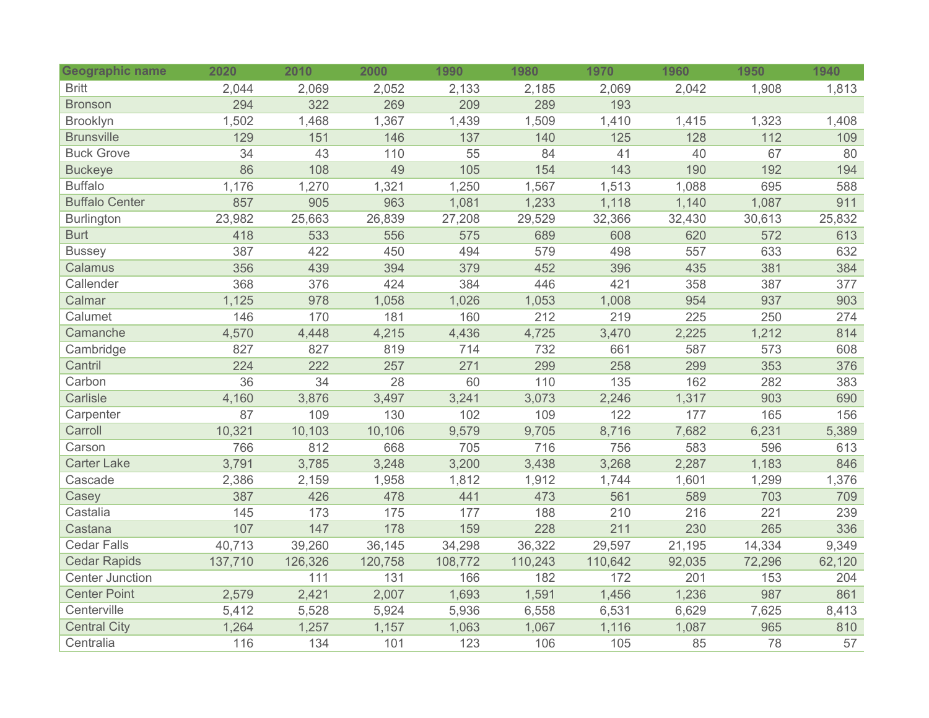| <b>Geographic name</b> | 2020    | 2010    | 2000    | 1990    | 1980    | 1970    | 1960   | 1950   | 1940   |
|------------------------|---------|---------|---------|---------|---------|---------|--------|--------|--------|
| <b>Britt</b>           | 2,044   | 2,069   | 2,052   | 2,133   | 2,185   | 2,069   | 2,042  | 1,908  | 1,813  |
| <b>Bronson</b>         | 294     | 322     | 269     | 209     | 289     | 193     |        |        |        |
| Brooklyn               | 1,502   | 1,468   | 1,367   | 1,439   | 1,509   | 1,410   | 1,415  | 1,323  | 1,408  |
| <b>Brunsville</b>      | 129     | 151     | 146     | 137     | 140     | 125     | 128    | 112    | 109    |
| <b>Buck Grove</b>      | 34      | 43      | 110     | 55      | 84      | 41      | 40     | 67     | 80     |
| <b>Buckeye</b>         | 86      | 108     | 49      | 105     | 154     | 143     | 190    | 192    | 194    |
| <b>Buffalo</b>         | 1,176   | 1,270   | 1,321   | 1,250   | 1,567   | 1,513   | 1,088  | 695    | 588    |
| <b>Buffalo Center</b>  | 857     | 905     | 963     | 1,081   | 1,233   | 1,118   | 1,140  | 1,087  | 911    |
| <b>Burlington</b>      | 23,982  | 25,663  | 26,839  | 27,208  | 29,529  | 32,366  | 32,430 | 30,613 | 25,832 |
| <b>Burt</b>            | 418     | 533     | 556     | 575     | 689     | 608     | 620    | 572    | 613    |
| <b>Bussey</b>          | 387     | 422     | 450     | 494     | 579     | 498     | 557    | 633    | 632    |
| Calamus                | 356     | 439     | 394     | 379     | 452     | 396     | 435    | 381    | 384    |
| Callender              | 368     | 376     | 424     | 384     | 446     | 421     | 358    | 387    | 377    |
| Calmar                 | 1,125   | 978     | 1,058   | 1,026   | 1,053   | 1,008   | 954    | 937    | 903    |
| Calumet                | 146     | 170     | 181     | 160     | 212     | 219     | 225    | 250    | 274    |
| Camanche               | 4,570   | 4,448   | 4,215   | 4,436   | 4,725   | 3,470   | 2,225  | 1,212  | 814    |
| Cambridge              | 827     | 827     | 819     | 714     | 732     | 661     | 587    | 573    | 608    |
| Cantril                | 224     | 222     | 257     | 271     | 299     | 258     | 299    | 353    | 376    |
| Carbon                 | 36      | 34      | 28      | 60      | 110     | 135     | 162    | 282    | 383    |
| Carlisle               | 4,160   | 3,876   | 3,497   | 3,241   | 3,073   | 2,246   | 1,317  | 903    | 690    |
| Carpenter              | 87      | 109     | 130     | 102     | 109     | 122     | 177    | 165    | 156    |
| Carroll                | 10,321  | 10,103  | 10,106  | 9,579   | 9,705   | 8,716   | 7,682  | 6,231  | 5,389  |
| Carson                 | 766     | 812     | 668     | 705     | 716     | 756     | 583    | 596    | 613    |
| <b>Carter Lake</b>     | 3,791   | 3,785   | 3,248   | 3,200   | 3,438   | 3,268   | 2,287  | 1,183  | 846    |
| Cascade                | 2,386   | 2,159   | 1,958   | 1,812   | 1,912   | 1,744   | 1,601  | 1,299  | 1,376  |
| Casey                  | 387     | 426     | 478     | 441     | 473     | 561     | 589    | 703    | 709    |
| Castalia               | 145     | 173     | 175     | 177     | 188     | 210     | 216    | 221    | 239    |
| Castana                | 107     | 147     | 178     | 159     | 228     | 211     | 230    | 265    | 336    |
| <b>Cedar Falls</b>     | 40,713  | 39,260  | 36,145  | 34,298  | 36,322  | 29,597  | 21,195 | 14,334 | 9,349  |
| <b>Cedar Rapids</b>    | 137,710 | 126,326 | 120,758 | 108,772 | 110,243 | 110,642 | 92,035 | 72,296 | 62,120 |
| <b>Center Junction</b> |         | 111     | 131     | 166     | 182     | 172     | 201    | 153    | 204    |
| <b>Center Point</b>    | 2,579   | 2,421   | 2,007   | 1,693   | 1,591   | 1,456   | 1,236  | 987    | 861    |
| Centerville            | 5,412   | 5,528   | 5,924   | 5,936   | 6,558   | 6,531   | 6,629  | 7,625  | 8,413  |
| <b>Central City</b>    | 1,264   | 1,257   | 1,157   | 1,063   | 1,067   | 1,116   | 1,087  | 965    | 810    |
| Centralia              | 116     | 134     | 101     | 123     | 106     | 105     | 85     | 78     | 57     |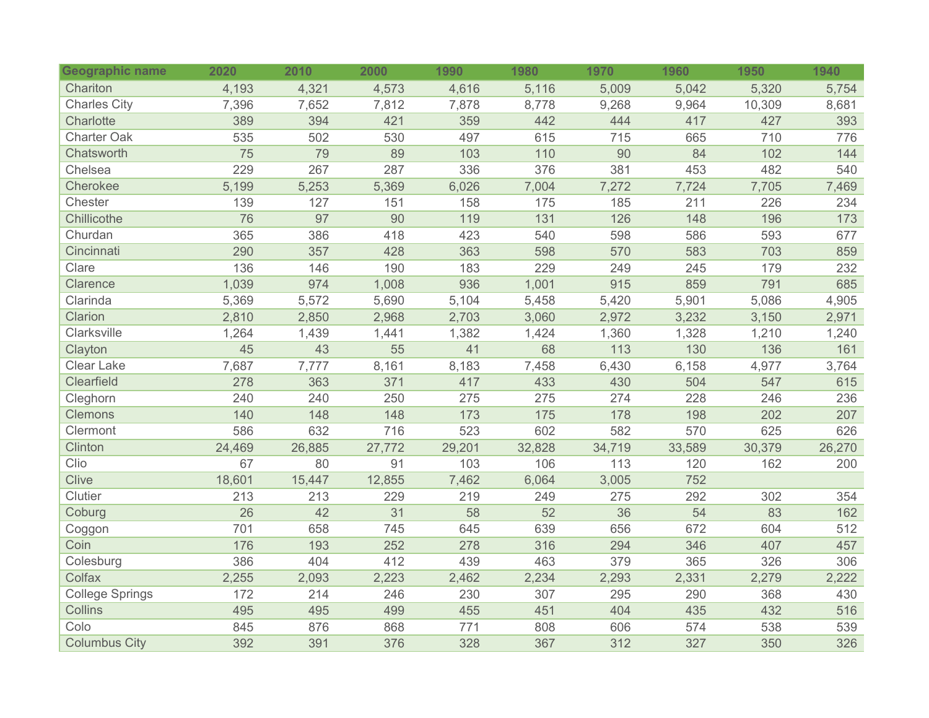| Geographic name        | 2020   | 2010   | 2000   | 1990   | 1980   | 1970   | 1960   | 1950   | 1940   |
|------------------------|--------|--------|--------|--------|--------|--------|--------|--------|--------|
| Chariton               | 4,193  | 4,321  | 4,573  | 4,616  | 5,116  | 5,009  | 5,042  | 5,320  | 5,754  |
| <b>Charles City</b>    | 7,396  | 7,652  | 7,812  | 7,878  | 8,778  | 9,268  | 9,964  | 10,309 | 8,681  |
| Charlotte              | 389    | 394    | 421    | 359    | 442    | 444    | 417    | 427    | 393    |
| <b>Charter Oak</b>     | 535    | 502    | 530    | 497    | 615    | 715    | 665    | 710    | 776    |
| Chatsworth             | 75     | 79     | 89     | 103    | 110    | 90     | 84     | 102    | 144    |
| Chelsea                | 229    | 267    | 287    | 336    | 376    | 381    | 453    | 482    | 540    |
| Cherokee               | 5,199  | 5,253  | 5,369  | 6,026  | 7,004  | 7,272  | 7,724  | 7,705  | 7,469  |
| Chester                | 139    | 127    | 151    | 158    | 175    | 185    | 211    | 226    | 234    |
| Chillicothe            | 76     | 97     | 90     | 119    | 131    | 126    | 148    | 196    | 173    |
| Churdan                | 365    | 386    | 418    | 423    | 540    | 598    | 586    | 593    | 677    |
| Cincinnati             | 290    | 357    | 428    | 363    | 598    | 570    | 583    | 703    | 859    |
| Clare                  | 136    | 146    | 190    | 183    | 229    | 249    | 245    | 179    | 232    |
| Clarence               | 1,039  | 974    | 1,008  | 936    | 1,001  | 915    | 859    | 791    | 685    |
| Clarinda               | 5,369  | 5,572  | 5,690  | 5,104  | 5,458  | 5,420  | 5,901  | 5,086  | 4,905  |
| Clarion                | 2,810  | 2,850  | 2,968  | 2,703  | 3,060  | 2,972  | 3,232  | 3,150  | 2,971  |
| Clarksville            | 1,264  | 1,439  | 1,441  | 1,382  | 1,424  | 1,360  | 1,328  | 1,210  | 1,240  |
| Clayton                | 45     | 43     | 55     | 41     | 68     | 113    | 130    | 136    | 161    |
| <b>Clear Lake</b>      | 7,687  | 7,777  | 8,161  | 8,183  | 7,458  | 6,430  | 6,158  | 4,977  | 3,764  |
| Clearfield             | 278    | 363    | 371    | 417    | 433    | 430    | 504    | 547    | 615    |
| Cleghorn               | 240    | 240    | 250    | 275    | 275    | 274    | 228    | 246    | 236    |
| <b>Clemons</b>         | 140    | 148    | 148    | 173    | 175    | 178    | 198    | 202    | 207    |
| Clermont               | 586    | 632    | 716    | 523    | 602    | 582    | 570    | 625    | 626    |
| Clinton                | 24,469 | 26,885 | 27,772 | 29,201 | 32,828 | 34,719 | 33,589 | 30,379 | 26,270 |
| Clio                   | 67     | 80     | 91     | 103    | 106    | 113    | 120    | 162    | 200    |
| <b>Clive</b>           | 18,601 | 15,447 | 12,855 | 7,462  | 6,064  | 3,005  | 752    |        |        |
| Clutier                | 213    | 213    | 229    | 219    | 249    | 275    | 292    | 302    | 354    |
| Coburg                 | 26     | 42     | 31     | 58     | 52     | 36     | 54     | 83     | 162    |
| Coggon                 | 701    | 658    | 745    | 645    | 639    | 656    | 672    | 604    | 512    |
| Coin                   | 176    | 193    | 252    | 278    | 316    | 294    | 346    | 407    | 457    |
| Colesburg              | 386    | 404    | 412    | 439    | 463    | 379    | 365    | 326    | 306    |
| Colfax                 | 2,255  | 2,093  | 2,223  | 2,462  | 2,234  | 2,293  | 2,331  | 2,279  | 2,222  |
| <b>College Springs</b> | 172    | 214    | 246    | 230    | 307    | 295    | 290    | 368    | 430    |
| Collins                | 495    | 495    | 499    | 455    | 451    | 404    | 435    | 432    | 516    |
| Colo                   | 845    | 876    | 868    | 771    | 808    | 606    | 574    | 538    | 539    |
| <b>Columbus City</b>   | 392    | 391    | 376    | 328    | 367    | 312    | 327    | 350    | 326    |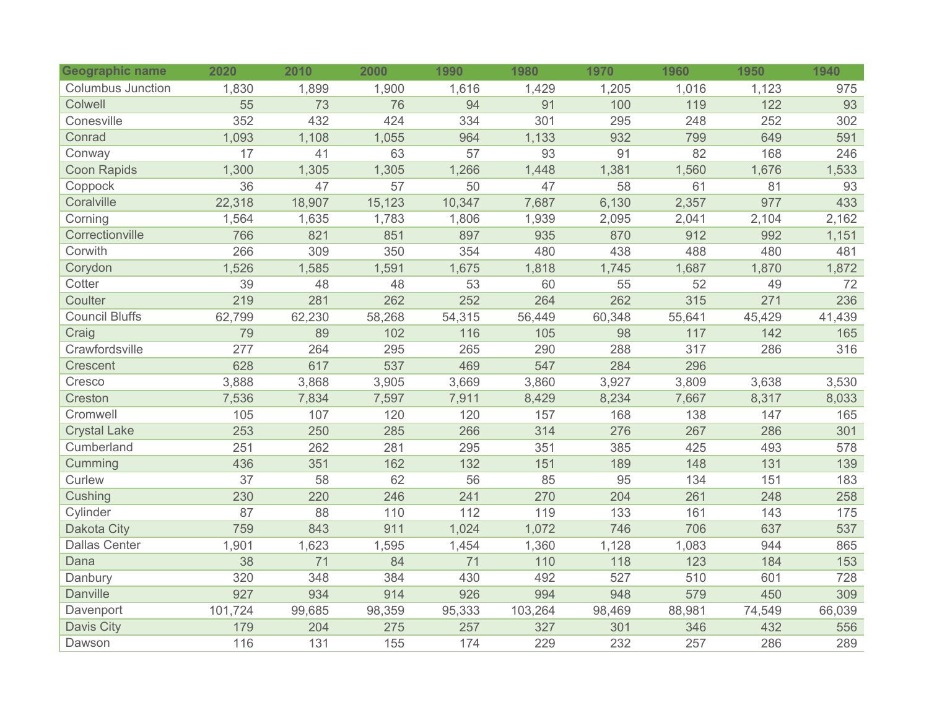| Geographic name          | 2020    | 2010   | 2000   | 1990   | 1980    | 1970   | 1960   | 1950   | 1940   |
|--------------------------|---------|--------|--------|--------|---------|--------|--------|--------|--------|
| <b>Columbus Junction</b> | 1,830   | 1,899  | 1,900  | 1,616  | 1,429   | 1,205  | 1,016  | 1,123  | 975    |
| Colwell                  | 55      | 73     | 76     | 94     | 91      | 100    | 119    | 122    | 93     |
| Conesville               | 352     | 432    | 424    | 334    | 301     | 295    | 248    | 252    | 302    |
| Conrad                   | 1,093   | 1,108  | 1,055  | 964    | 1,133   | 932    | 799    | 649    | 591    |
| Conway                   | 17      | 41     | 63     | 57     | 93      | 91     | 82     | 168    | 246    |
| <b>Coon Rapids</b>       | 1,300   | 1,305  | 1,305  | 1,266  | 1,448   | 1,381  | 1,560  | 1,676  | 1,533  |
| Coppock                  | 36      | 47     | 57     | 50     | 47      | 58     | 61     | 81     | 93     |
| Coralville               | 22,318  | 18,907 | 15,123 | 10,347 | 7,687   | 6,130  | 2,357  | 977    | 433    |
| Corning                  | 1,564   | 1,635  | 1,783  | 1,806  | 1,939   | 2,095  | 2,041  | 2,104  | 2,162  |
| Correctionville          | 766     | 821    | 851    | 897    | 935     | 870    | 912    | 992    | 1,151  |
| Corwith                  | 266     | 309    | 350    | 354    | 480     | 438    | 488    | 480    | 481    |
| Corydon                  | 1,526   | 1,585  | 1,591  | 1,675  | 1,818   | 1,745  | 1,687  | 1,870  | 1,872  |
| Cotter                   | 39      | 48     | 48     | 53     | 60      | 55     | 52     | 49     | 72     |
| Coulter                  | 219     | 281    | 262    | 252    | 264     | 262    | 315    | 271    | 236    |
| <b>Council Bluffs</b>    | 62,799  | 62,230 | 58,268 | 54,315 | 56,449  | 60,348 | 55,641 | 45,429 | 41,439 |
| Craig                    | 79      | 89     | 102    | 116    | 105     | 98     | 117    | 142    | 165    |
| Crawfordsville           | 277     | 264    | 295    | 265    | 290     | 288    | 317    | 286    | 316    |
| Crescent                 | 628     | 617    | 537    | 469    | 547     | 284    | 296    |        |        |
| Cresco                   | 3,888   | 3,868  | 3,905  | 3,669  | 3,860   | 3,927  | 3,809  | 3,638  | 3,530  |
| Creston                  | 7,536   | 7,834  | 7,597  | 7,911  | 8,429   | 8,234  | 7,667  | 8,317  | 8,033  |
| Cromwell                 | 105     | 107    | 120    | 120    | 157     | 168    | 138    | 147    | 165    |
| <b>Crystal Lake</b>      | 253     | 250    | 285    | 266    | 314     | 276    | 267    | 286    | 301    |
| Cumberland               | 251     | 262    | 281    | 295    | 351     | 385    | 425    | 493    | 578    |
| Cumming                  | 436     | 351    | 162    | 132    | 151     | 189    | 148    | 131    | 139    |
| Curlew                   | 37      | 58     | 62     | 56     | 85      | 95     | 134    | 151    | 183    |
| Cushing                  | 230     | 220    | 246    | 241    | 270     | 204    | 261    | 248    | 258    |
| Cylinder                 | 87      | 88     | 110    | 112    | 119     | 133    | 161    | 143    | 175    |
| <b>Dakota City</b>       | 759     | 843    | 911    | 1,024  | 1,072   | 746    | 706    | 637    | 537    |
| <b>Dallas Center</b>     | 1,901   | 1,623  | 1,595  | 1,454  | 1,360   | 1,128  | 1,083  | 944    | 865    |
| Dana                     | 38      | 71     | 84     | 71     | 110     | 118    | 123    | 184    | 153    |
| Danbury                  | 320     | 348    | 384    | 430    | 492     | 527    | 510    | 601    | 728    |
| <b>Danville</b>          | 927     | 934    | 914    | 926    | 994     | 948    | 579    | 450    | 309    |
| Davenport                | 101,724 | 99,685 | 98,359 | 95,333 | 103,264 | 98,469 | 88,981 | 74,549 | 66,039 |
| <b>Davis City</b>        | 179     | 204    | 275    | 257    | 327     | 301    | 346    | 432    | 556    |
| Dawson                   | 116     | 131    | 155    | 174    | 229     | 232    | 257    | 286    | 289    |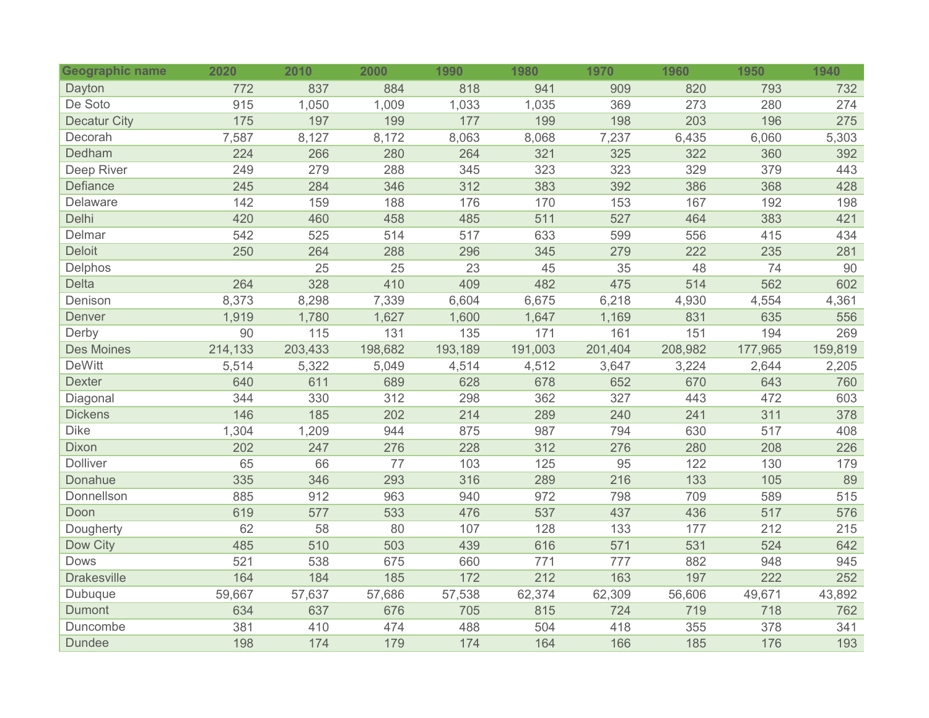| <b>Geographic name</b> | 2020    | 2010    | 2000    | 1990    | 1980    | 1970    | 1960    | 1950    | 1940    |
|------------------------|---------|---------|---------|---------|---------|---------|---------|---------|---------|
| Dayton                 | 772     | 837     | 884     | 818     | 941     | 909     | 820     | 793     | 732     |
| De Soto                | 915     | 1,050   | 1,009   | 1,033   | 1,035   | 369     | 273     | 280     | 274     |
| <b>Decatur City</b>    | 175     | 197     | 199     | 177     | 199     | 198     | 203     | 196     | 275     |
| Decorah                | 7,587   | 8,127   | 8,172   | 8,063   | 8,068   | 7,237   | 6,435   | 6,060   | 5,303   |
| Dedham                 | 224     | 266     | 280     | 264     | 321     | 325     | 322     | 360     | 392     |
| Deep River             | 249     | 279     | 288     | 345     | 323     | 323     | 329     | 379     | 443     |
| Defiance               | 245     | 284     | 346     | 312     | 383     | 392     | 386     | 368     | 428     |
| Delaware               | 142     | 159     | 188     | 176     | 170     | 153     | 167     | 192     | 198     |
| Delhi                  | 420     | 460     | 458     | 485     | 511     | 527     | 464     | 383     | 421     |
| Delmar                 | 542     | 525     | 514     | 517     | 633     | 599     | 556     | 415     | 434     |
| <b>Deloit</b>          | 250     | 264     | 288     | 296     | 345     | 279     | 222     | 235     | 281     |
| Delphos                |         | 25      | 25      | 23      | 45      | 35      | 48      | 74      | 90      |
| <b>Delta</b>           | 264     | 328     | 410     | 409     | 482     | 475     | 514     | 562     | 602     |
| Denison                | 8,373   | 8,298   | 7,339   | 6,604   | 6,675   | 6,218   | 4,930   | 4,554   | 4,361   |
| Denver                 | 1,919   | 1,780   | 1,627   | 1,600   | 1,647   | 1,169   | 831     | 635     | 556     |
| Derby                  | 90      | 115     | 131     | 135     | 171     | 161     | 151     | 194     | 269     |
| <b>Des Moines</b>      | 214,133 | 203,433 | 198,682 | 193,189 | 191,003 | 201,404 | 208,982 | 177,965 | 159,819 |
| <b>DeWitt</b>          | 5,514   | 5,322   | 5,049   | 4,514   | 4,512   | 3,647   | 3,224   | 2,644   | 2,205   |
| <b>Dexter</b>          | 640     | 611     | 689     | 628     | 678     | 652     | 670     | 643     | 760     |
| Diagonal               | 344     | 330     | 312     | 298     | 362     | 327     | 443     | 472     | 603     |
| <b>Dickens</b>         | 146     | 185     | 202     | 214     | 289     | 240     | 241     | 311     | 378     |
| <b>Dike</b>            | 1,304   | 1,209   | 944     | 875     | 987     | 794     | 630     | 517     | 408     |
| Dixon                  | 202     | 247     | 276     | 228     | 312     | 276     | 280     | 208     | 226     |
| Dolliver               | 65      | 66      | 77      | 103     | 125     | 95      | 122     | 130     | 179     |
| Donahue                | 335     | 346     | 293     | 316     | 289     | 216     | 133     | 105     | 89      |
| Donnellson             | 885     | 912     | 963     | 940     | 972     | 798     | 709     | 589     | 515     |
| Doon                   | 619     | 577     | 533     | 476     | 537     | 437     | 436     | 517     | 576     |
| Dougherty              | 62      | 58      | 80      | 107     | 128     | 133     | 177     | 212     | 215     |
| Dow City               | 485     | 510     | 503     | 439     | 616     | 571     | 531     | 524     | 642     |
| Dows                   | 521     | 538     | 675     | 660     | 771     | 777     | 882     | 948     | 945     |
| <b>Drakesville</b>     | 164     | 184     | 185     | 172     | 212     | 163     | 197     | 222     | 252     |
| Dubuque                | 59,667  | 57,637  | 57,686  | 57,538  | 62,374  | 62,309  | 56,606  | 49,671  | 43,892  |
| Dumont                 | 634     | 637     | 676     | 705     | 815     | 724     | 719     | 718     | 762     |
| Duncombe               | 381     | 410     | 474     | 488     | 504     | 418     | 355     | 378     | 341     |
| <b>Dundee</b>          | 198     | 174     | 179     | 174     | 164     | 166     | 185     | 176     | 193     |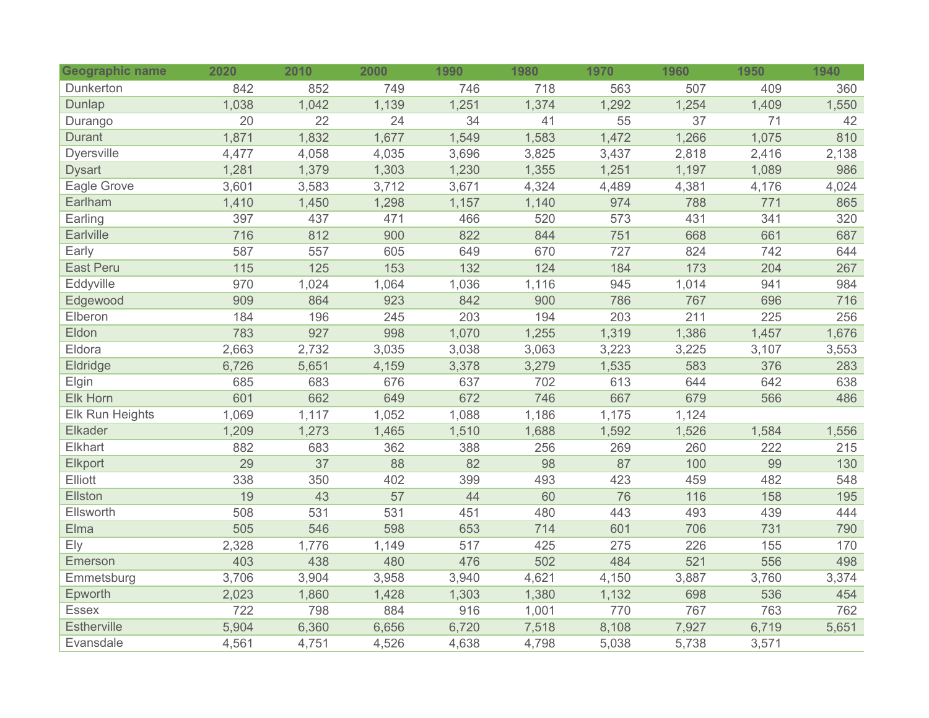| <b>Geographic name</b> | 2020  | 2010  | 2000  | 1990  | 1980  | 1970  | 1960  | 1950  | 1940  |
|------------------------|-------|-------|-------|-------|-------|-------|-------|-------|-------|
| Dunkerton              | 842   | 852   | 749   | 746   | 718   | 563   | 507   | 409   | 360   |
| Dunlap                 | 1,038 | 1,042 | 1,139 | 1,251 | 1,374 | 1,292 | 1,254 | 1,409 | 1,550 |
| Durango                | 20    | 22    | 24    | 34    | 41    | 55    | 37    | 71    | 42    |
| <b>Durant</b>          | 1,871 | 1,832 | 1,677 | 1,549 | 1,583 | 1,472 | 1,266 | 1,075 | 810   |
| Dyersville             | 4,477 | 4,058 | 4,035 | 3,696 | 3,825 | 3,437 | 2,818 | 2,416 | 2,138 |
| <b>Dysart</b>          | 1,281 | 1,379 | 1,303 | 1,230 | 1,355 | 1,251 | 1,197 | 1,089 | 986   |
| Eagle Grove            | 3,601 | 3,583 | 3,712 | 3,671 | 4,324 | 4,489 | 4,381 | 4,176 | 4,024 |
| Earlham                | 1,410 | 1,450 | 1,298 | 1,157 | 1,140 | 974   | 788   | 771   | 865   |
| Earling                | 397   | 437   | 471   | 466   | 520   | 573   | 431   | 341   | 320   |
| Earlville              | 716   | 812   | 900   | 822   | 844   | 751   | 668   | 661   | 687   |
| Early                  | 587   | 557   | 605   | 649   | 670   | 727   | 824   | 742   | 644   |
| East Peru              | 115   | 125   | 153   | 132   | 124   | 184   | 173   | 204   | 267   |
| Eddyville              | 970   | 1,024 | 1,064 | 1,036 | 1,116 | 945   | 1,014 | 941   | 984   |
| Edgewood               | 909   | 864   | 923   | 842   | 900   | 786   | 767   | 696   | 716   |
| Elberon                | 184   | 196   | 245   | 203   | 194   | 203   | 211   | 225   | 256   |
| Eldon                  | 783   | 927   | 998   | 1,070 | 1,255 | 1,319 | 1,386 | 1,457 | 1,676 |
| Eldora                 | 2,663 | 2,732 | 3,035 | 3,038 | 3,063 | 3,223 | 3,225 | 3,107 | 3,553 |
| Eldridge               | 6,726 | 5,651 | 4,159 | 3,378 | 3,279 | 1,535 | 583   | 376   | 283   |
| Elgin                  | 685   | 683   | 676   | 637   | 702   | 613   | 644   | 642   | 638   |
| Elk Horn               | 601   | 662   | 649   | 672   | 746   | 667   | 679   | 566   | 486   |
| Elk Run Heights        | 1,069 | 1,117 | 1,052 | 1,088 | 1,186 | 1,175 | 1,124 |       |       |
| Elkader                | 1,209 | 1,273 | 1,465 | 1,510 | 1,688 | 1,592 | 1,526 | 1,584 | 1,556 |
| Elkhart                | 882   | 683   | 362   | 388   | 256   | 269   | 260   | 222   | 215   |
| Elkport                | 29    | 37    | 88    | 82    | 98    | 87    | 100   | 99    | 130   |
| Elliott                | 338   | 350   | 402   | 399   | 493   | 423   | 459   | 482   | 548   |
| Ellston                | 19    | 43    | 57    | 44    | 60    | 76    | 116   | 158   | 195   |
| Ellsworth              | 508   | 531   | 531   | 451   | 480   | 443   | 493   | 439   | 444   |
| Elma                   | 505   | 546   | 598   | 653   | 714   | 601   | 706   | 731   | 790   |
| Ely                    | 2,328 | 1,776 | 1,149 | 517   | 425   | 275   | 226   | 155   | 170   |
| Emerson                | 403   | 438   | 480   | 476   | 502   | 484   | 521   | 556   | 498   |
| Emmetsburg             | 3,706 | 3,904 | 3,958 | 3,940 | 4,621 | 4,150 | 3,887 | 3,760 | 3,374 |
| Epworth                | 2,023 | 1,860 | 1,428 | 1,303 | 1,380 | 1,132 | 698   | 536   | 454   |
| Essex                  | 722   | 798   | 884   | 916   | 1,001 | 770   | 767   | 763   | 762   |
| Estherville            | 5,904 | 6,360 | 6,656 | 6,720 | 7,518 | 8,108 | 7,927 | 6,719 | 5,651 |
| Evansdale              | 4,561 | 4,751 | 4,526 | 4,638 | 4,798 | 5,038 | 5,738 | 3,571 |       |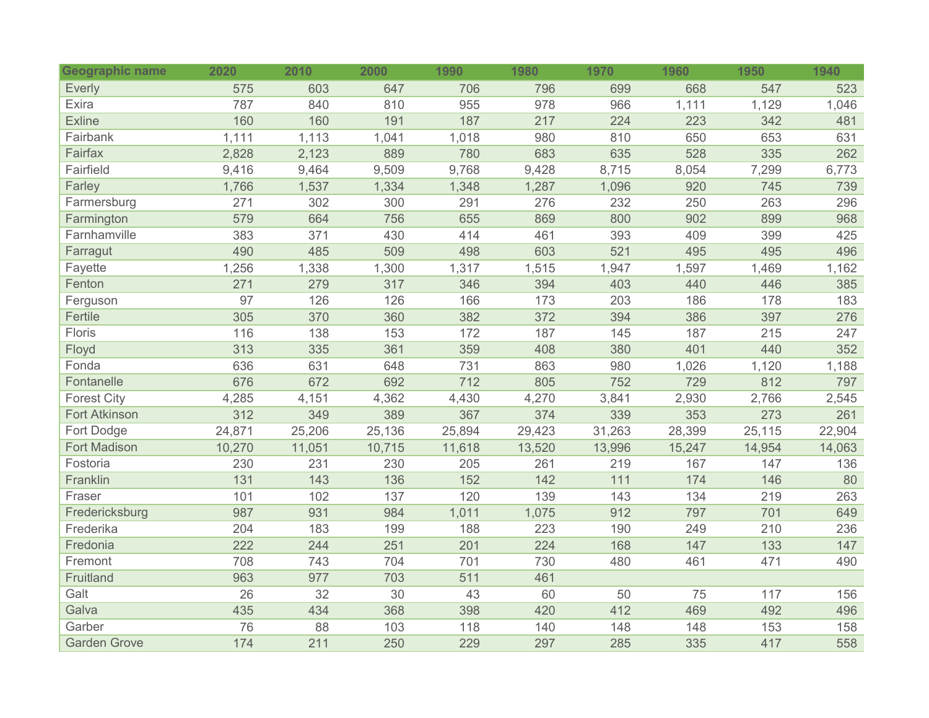| <b>Geographic name</b> | 2020   | 2010            | 2000   | 1990   | 1980   | 1970   | 1960   | 1950   | 1940   |
|------------------------|--------|-----------------|--------|--------|--------|--------|--------|--------|--------|
| <b>Everly</b>          | 575    | 603             | 647    | 706    | 796    | 699    | 668    | 547    | 523    |
| Exira                  | 787    | 840             | 810    | 955    | 978    | 966    | 1,111  | 1,129  | 1,046  |
| <b>Exline</b>          | 160    | 160             | 191    | 187    | 217    | 224    | 223    | 342    | 481    |
| Fairbank               | 1,111  | 1,113           | 1,041  | 1,018  | 980    | 810    | 650    | 653    | 631    |
| Fairfax                | 2,828  | 2,123           | 889    | 780    | 683    | 635    | 528    | 335    | 262    |
| Fairfield              | 9,416  | 9,464           | 9,509  | 9,768  | 9,428  | 8,715  | 8,054  | 7,299  | 6,773  |
| Farley                 | 1,766  | 1,537           | 1,334  | 1,348  | 1,287  | 1,096  | 920    | 745    | 739    |
| Farmersburg            | 271    | 302             | 300    | 291    | 276    | 232    | 250    | 263    | 296    |
| Farmington             | 579    | 664             | 756    | 655    | 869    | 800    | 902    | 899    | 968    |
| Farnhamville           | 383    | 371             | 430    | 414    | 461    | 393    | 409    | 399    | 425    |
| Farragut               | 490    | 485             | 509    | 498    | 603    | 521    | 495    | 495    | 496    |
| Fayette                | 1,256  | 1,338           | 1,300  | 1,317  | 1,515  | 1,947  | 1,597  | 1,469  | 1,162  |
| Fenton                 | 271    | 279             | 317    | 346    | 394    | 403    | 440    | 446    | 385    |
| Ferguson               | 97     | 126             | 126    | 166    | 173    | 203    | 186    | 178    | 183    |
| Fertile                | 305    | 370             | 360    | 382    | 372    | 394    | 386    | 397    | 276    |
| Floris                 | 116    | 138             | 153    | 172    | 187    | 145    | 187    | 215    | 247    |
| Floyd                  | 313    | 335             | 361    | 359    | 408    | 380    | 401    | 440    | 352    |
| Fonda                  | 636    | 631             | 648    | 731    | 863    | 980    | 1,026  | 1,120  | 1,188  |
| Fontanelle             | 676    | 672             | 692    | 712    | 805    | 752    | 729    | 812    | 797    |
| <b>Forest City</b>     | 4,285  | 4,151           | 4,362  | 4,430  | 4,270  | 3,841  | 2,930  | 2,766  | 2,545  |
| <b>Fort Atkinson</b>   | 312    | 349             | 389    | 367    | 374    | 339    | 353    | 273    | 261    |
| Fort Dodge             | 24,871 | 25,206          | 25,136 | 25,894 | 29,423 | 31,263 | 28,399 | 25,115 | 22,904 |
| <b>Fort Madison</b>    | 10,270 | 11,051          | 10,715 | 11,618 | 13,520 | 13,996 | 15,247 | 14,954 | 14,063 |
| Fostoria               | 230    | 231             | 230    | 205    | 261    | 219    | 167    | 147    | 136    |
| Franklin               | 131    | 143             | 136    | 152    | 142    | 111    | 174    | 146    | 80     |
| Fraser                 | 101    | 102             | 137    | 120    | 139    | 143    | 134    | 219    | 263    |
| Fredericksburg         | 987    | 931             | 984    | 1,011  | 1,075  | 912    | 797    | 701    | 649    |
| Frederika              | 204    | 183             | 199    | 188    | 223    | 190    | 249    | 210    | 236    |
| Fredonia               | 222    | 244             | 251    | 201    | 224    | 168    | 147    | 133    | 147    |
| Fremont                | 708    | 743             | 704    | 701    | 730    | 480    | 461    | 471    | 490    |
| Fruitland              | 963    | 977             | 703    | 511    | 461    |        |        |        |        |
| Galt                   | 26     | $\overline{32}$ | 30     | 43     | 60     | 50     | 75     | 117    | 156    |
| Galva                  | 435    | 434             | 368    | 398    | 420    | 412    | 469    | 492    | 496    |
| Garber                 | 76     | 88              | 103    | 118    | 140    | 148    | 148    | 153    | 158    |
| <b>Garden Grove</b>    | 174    | 211             | 250    | 229    | 297    | 285    | 335    | 417    | 558    |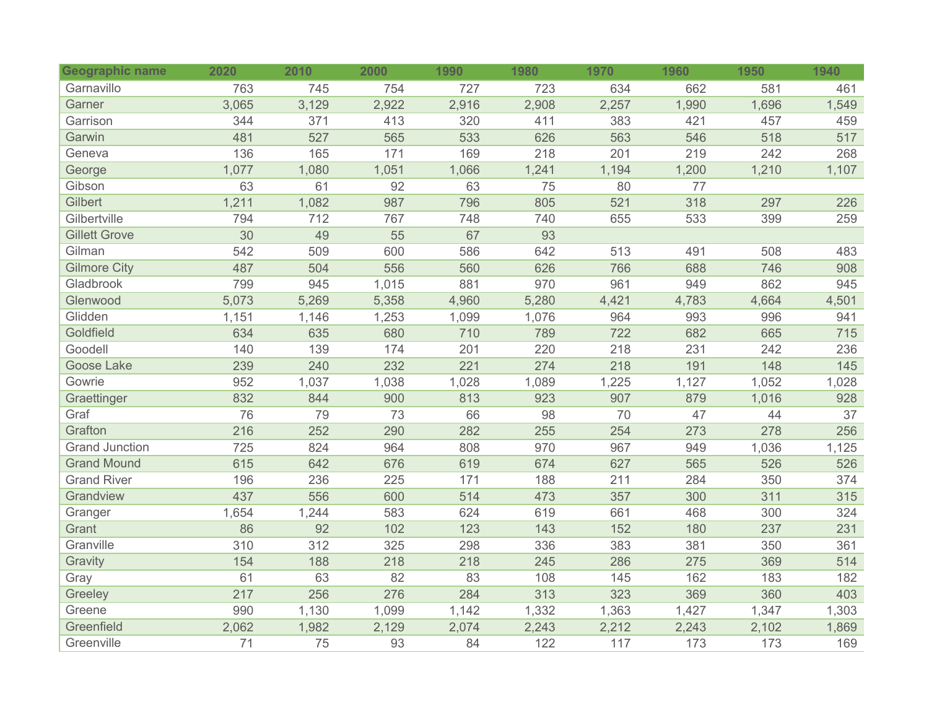| <b>Geographic name</b> | 2020  | 2010  | 2000  | 1990  | 1980  | 1970  | 1960  | 1950  | 1940  |
|------------------------|-------|-------|-------|-------|-------|-------|-------|-------|-------|
| Garnavillo             | 763   | 745   | 754   | 727   | 723   | 634   | 662   | 581   | 461   |
| Garner                 | 3,065 | 3,129 | 2,922 | 2,916 | 2,908 | 2,257 | 1,990 | 1,696 | 1,549 |
| Garrison               | 344   | 371   | 413   | 320   | 411   | 383   | 421   | 457   | 459   |
| Garwin                 | 481   | 527   | 565   | 533   | 626   | 563   | 546   | 518   | 517   |
| Geneva                 | 136   | 165   | 171   | 169   | 218   | 201   | 219   | 242   | 268   |
| George                 | 1,077 | 1,080 | 1,051 | 1,066 | 1,241 | 1,194 | 1,200 | 1,210 | 1,107 |
| Gibson                 | 63    | 61    | 92    | 63    | 75    | 80    | 77    |       |       |
| Gilbert                | 1,211 | 1,082 | 987   | 796   | 805   | 521   | 318   | 297   | 226   |
| Gilbertville           | 794   | 712   | 767   | 748   | 740   | 655   | 533   | 399   | 259   |
| <b>Gillett Grove</b>   | 30    | 49    | 55    | 67    | 93    |       |       |       |       |
| Gilman                 | 542   | 509   | 600   | 586   | 642   | 513   | 491   | 508   | 483   |
| <b>Gilmore City</b>    | 487   | 504   | 556   | 560   | 626   | 766   | 688   | 746   | 908   |
| Gladbrook              | 799   | 945   | 1,015 | 881   | 970   | 961   | 949   | 862   | 945   |
| Glenwood               | 5,073 | 5,269 | 5,358 | 4,960 | 5,280 | 4,421 | 4,783 | 4,664 | 4,501 |
| Glidden                | 1,151 | 1,146 | 1,253 | 1,099 | 1,076 | 964   | 993   | 996   | 941   |
| Goldfield              | 634   | 635   | 680   | 710   | 789   | 722   | 682   | 665   | 715   |
| Goodell                | 140   | 139   | 174   | 201   | 220   | 218   | 231   | 242   | 236   |
| <b>Goose Lake</b>      | 239   | 240   | 232   | 221   | 274   | 218   | 191   | 148   | 145   |
| Gowrie                 | 952   | 1,037 | 1,038 | 1,028 | 1,089 | 1,225 | 1,127 | 1,052 | 1,028 |
| Graettinger            | 832   | 844   | 900   | 813   | 923   | 907   | 879   | 1,016 | 928   |
| Graf                   | 76    | 79    | 73    | 66    | 98    | 70    | 47    | 44    | 37    |
| Grafton                | 216   | 252   | 290   | 282   | 255   | 254   | 273   | 278   | 256   |
| <b>Grand Junction</b>  | 725   | 824   | 964   | 808   | 970   | 967   | 949   | 1,036 | 1,125 |
| <b>Grand Mound</b>     | 615   | 642   | 676   | 619   | 674   | 627   | 565   | 526   | 526   |
| <b>Grand River</b>     | 196   | 236   | 225   | 171   | 188   | 211   | 284   | 350   | 374   |
| Grandview              | 437   | 556   | 600   | 514   | 473   | 357   | 300   | 311   | 315   |
| Granger                | 1,654 | 1,244 | 583   | 624   | 619   | 661   | 468   | 300   | 324   |
| Grant                  | 86    | 92    | 102   | 123   | 143   | 152   | 180   | 237   | 231   |
| Granville              | 310   | 312   | 325   | 298   | 336   | 383   | 381   | 350   | 361   |
| Gravity                | 154   | 188   | 218   | 218   | 245   | 286   | 275   | 369   | 514   |
| Gray                   | 61    | 63    | 82    | 83    | 108   | 145   | 162   | 183   | 182   |
| Greeley                | 217   | 256   | 276   | 284   | 313   | 323   | 369   | 360   | 403   |
| Greene                 | 990   | 1,130 | 1,099 | 1,142 | 1,332 | 1,363 | 1,427 | 1,347 | 1,303 |
| Greenfield             | 2,062 | 1,982 | 2,129 | 2,074 | 2,243 | 2,212 | 2,243 | 2,102 | 1,869 |
| Greenville             | 71    | 75    | 93    | 84    | 122   | 117   | 173   | 173   | 169   |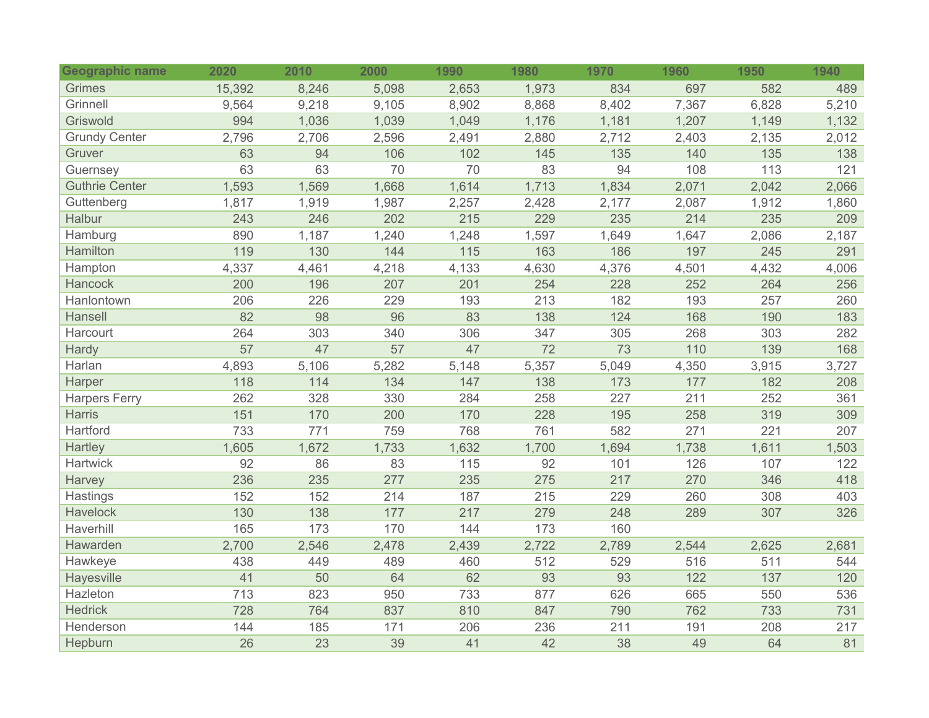| Geographic name       | 2020   | 2010  | 2000  | 1990             | 1980  | 1970  | 1960  | 1950  | 1940  |
|-----------------------|--------|-------|-------|------------------|-------|-------|-------|-------|-------|
| <b>Grimes</b>         | 15,392 | 8,246 | 5,098 | 2,653            | 1,973 | 834   | 697   | 582   | 489   |
| Grinnell              | 9,564  | 9,218 | 9,105 | 8,902            | 8,868 | 8,402 | 7,367 | 6,828 | 5,210 |
| Griswold              | 994    | 1,036 | 1,039 | 1,049            | 1,176 | 1,181 | 1,207 | 1,149 | 1,132 |
| <b>Grundy Center</b>  | 2,796  | 2,706 | 2,596 | 2,491            | 2,880 | 2,712 | 2,403 | 2,135 | 2,012 |
| Gruver                | 63     | 94    | 106   | 102              | 145   | 135   | 140   | 135   | 138   |
| Guernsey              | 63     | 63    | 70    | 70               | 83    | 94    | 108   | 113   | 121   |
| <b>Guthrie Center</b> | 1,593  | 1,569 | 1,668 | 1,614            | 1,713 | 1,834 | 2,071 | 2,042 | 2,066 |
| Guttenberg            | 1,817  | 1,919 | 1,987 | 2,257            | 2,428 | 2,177 | 2,087 | 1,912 | 1,860 |
| Halbur                | 243    | 246   | 202   | 215              | 229   | 235   | 214   | 235   | 209   |
| Hamburg               | 890    | 1,187 | 1,240 | 1,248            | 1,597 | 1,649 | 1,647 | 2,086 | 2,187 |
| Hamilton              | 119    | 130   | 144   | $\overline{115}$ | 163   | 186   | 197   | 245   | 291   |
| Hampton               | 4,337  | 4,461 | 4,218 | 4,133            | 4,630 | 4,376 | 4,501 | 4,432 | 4,006 |
| Hancock               | 200    | 196   | 207   | 201              | 254   | 228   | 252   | 264   | 256   |
| Hanlontown            | 206    | 226   | 229   | 193              | 213   | 182   | 193   | 257   | 260   |
| Hansell               | 82     | 98    | 96    | 83               | 138   | 124   | 168   | 190   | 183   |
| Harcourt              | 264    | 303   | 340   | 306              | 347   | 305   | 268   | 303   | 282   |
| Hardy                 | 57     | 47    | 57    | 47               | 72    | 73    | 110   | 139   | 168   |
| Harlan                | 4,893  | 5,106 | 5,282 | 5,148            | 5,357 | 5,049 | 4,350 | 3,915 | 3,727 |
| Harper                | 118    | 114   | 134   | 147              | 138   | 173   | 177   | 182   | 208   |
| <b>Harpers Ferry</b>  | 262    | 328   | 330   | 284              | 258   | 227   | 211   | 252   | 361   |
| <b>Harris</b>         | 151    | 170   | 200   | 170              | 228   | 195   | 258   | 319   | 309   |
| Hartford              | 733    | 771   | 759   | 768              | 761   | 582   | 271   | 221   | 207   |
| Hartley               | 1,605  | 1,672 | 1,733 | 1,632            | 1,700 | 1,694 | 1,738 | 1,611 | 1,503 |
| <b>Hartwick</b>       | 92     | 86    | 83    | 115              | 92    | 101   | 126   | 107   | 122   |
| Harvey                | 236    | 235   | 277   | 235              | 275   | 217   | 270   | 346   | 418   |
| Hastings              | 152    | 152   | 214   | 187              | 215   | 229   | 260   | 308   | 403   |
| Havelock              | 130    | 138   | 177   | 217              | 279   | 248   | 289   | 307   | 326   |
| Haverhill             | 165    | 173   | 170   | 144              | 173   | 160   |       |       |       |
| Hawarden              | 2,700  | 2,546 | 2,478 | 2,439            | 2,722 | 2,789 | 2,544 | 2,625 | 2,681 |
| Hawkeye               | 438    | 449   | 489   | 460              | 512   | 529   | 516   | 511   | 544   |
| Hayesville            | 41     | 50    | 64    | 62               | 93    | 93    | 122   | 137   | 120   |
| Hazleton              | 713    | 823   | 950   | 733              | 877   | 626   | 665   | 550   | 536   |
| <b>Hedrick</b>        | 728    | 764   | 837   | 810              | 847   | 790   | 762   | 733   | 731   |
| Henderson             | 144    | 185   | 171   | 206              | 236   | 211   | 191   | 208   | 217   |
| Hepburn               | 26     | 23    | 39    | 41               | 42    | 38    | 49    | 64    | 81    |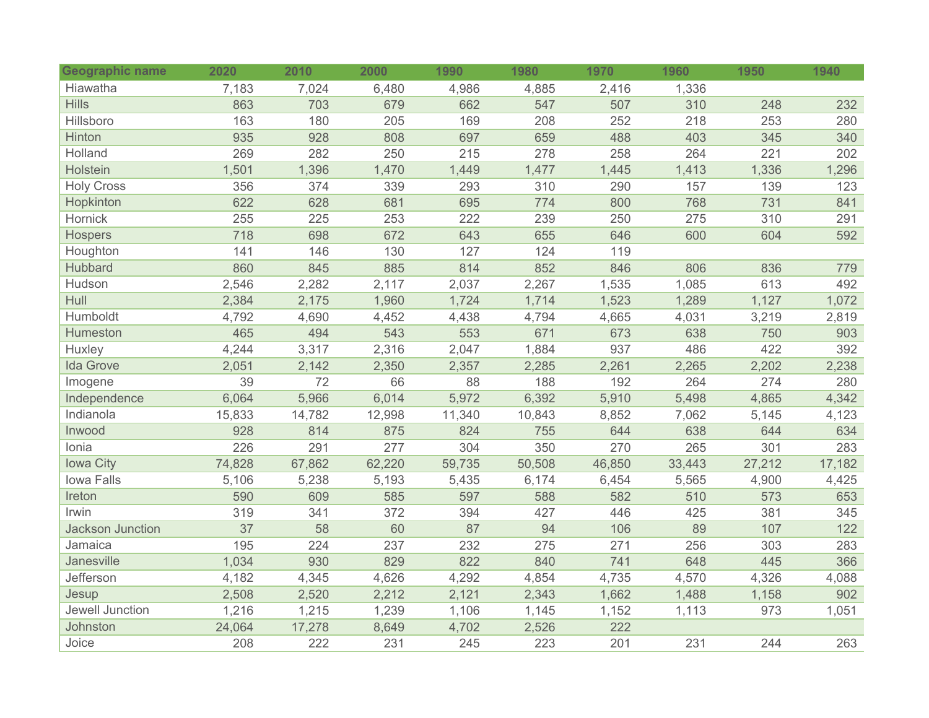| Geographic name         | 2020   | 2010   | 2000   | 1990   | 1980   | 1970   | 1960   | 1950   | 1940   |
|-------------------------|--------|--------|--------|--------|--------|--------|--------|--------|--------|
| Hiawatha                | 7,183  | 7,024  | 6,480  | 4,986  | 4,885  | 2,416  | 1,336  |        |        |
| <b>Hills</b>            | 863    | 703    | 679    | 662    | 547    | 507    | 310    | 248    | 232    |
| Hillsboro               | 163    | 180    | 205    | 169    | 208    | 252    | 218    | 253    | 280    |
| Hinton                  | 935    | 928    | 808    | 697    | 659    | 488    | 403    | 345    | 340    |
| Holland                 | 269    | 282    | 250    | 215    | 278    | 258    | 264    | 221    | 202    |
| Holstein                | 1,501  | 1,396  | 1,470  | 1,449  | 1,477  | 1,445  | 1,413  | 1,336  | 1,296  |
| <b>Holy Cross</b>       | 356    | 374    | 339    | 293    | 310    | 290    | 157    | 139    | 123    |
| Hopkinton               | 622    | 628    | 681    | 695    | 774    | 800    | 768    | 731    | 841    |
| Hornick                 | 255    | 225    | 253    | 222    | 239    | 250    | 275    | 310    | 291    |
| <b>Hospers</b>          | 718    | 698    | 672    | 643    | 655    | 646    | 600    | 604    | 592    |
| Houghton                | 141    | 146    | 130    | 127    | 124    | 119    |        |        |        |
| <b>Hubbard</b>          | 860    | 845    | 885    | 814    | 852    | 846    | 806    | 836    | 779    |
| Hudson                  | 2,546  | 2,282  | 2,117  | 2,037  | 2,267  | 1,535  | 1,085  | 613    | 492    |
| Hull                    | 2,384  | 2,175  | 1,960  | 1,724  | 1,714  | 1,523  | 1,289  | 1,127  | 1,072  |
| Humboldt                | 4,792  | 4,690  | 4,452  | 4,438  | 4,794  | 4,665  | 4,031  | 3,219  | 2,819  |
| Humeston                | 465    | 494    | 543    | 553    | 671    | 673    | 638    | 750    | 903    |
| Huxley                  | 4,244  | 3,317  | 2,316  | 2,047  | 1,884  | 937    | 486    | 422    | 392    |
| <b>Ida Grove</b>        | 2,051  | 2,142  | 2,350  | 2,357  | 2,285  | 2,261  | 2,265  | 2,202  | 2,238  |
| Imogene                 | 39     | 72     | 66     | 88     | 188    | 192    | 264    | 274    | 280    |
| Independence            | 6,064  | 5,966  | 6,014  | 5,972  | 6,392  | 5,910  | 5,498  | 4,865  | 4,342  |
| Indianola               | 15,833 | 14,782 | 12,998 | 11,340 | 10,843 | 8,852  | 7,062  | 5,145  | 4,123  |
| Inwood                  | 928    | 814    | 875    | 824    | 755    | 644    | 638    | 644    | 634    |
| Ionia                   | 226    | 291    | 277    | 304    | 350    | 270    | 265    | 301    | 283    |
| <b>lowa City</b>        | 74,828 | 67,862 | 62,220 | 59,735 | 50,508 | 46,850 | 33,443 | 27,212 | 17,182 |
| Iowa Falls              | 5,106  | 5,238  | 5,193  | 5,435  | 6,174  | 6,454  | 5,565  | 4,900  | 4,425  |
| Ireton                  | 590    | 609    | 585    | 597    | 588    | 582    | 510    | 573    | 653    |
| Irwin                   | 319    | 341    | 372    | 394    | 427    | 446    | 425    | 381    | 345    |
| <b>Jackson Junction</b> | 37     | 58     | 60     | 87     | 94     | 106    | 89     | 107    | 122    |
| Jamaica                 | 195    | 224    | 237    | 232    | 275    | 271    | 256    | 303    | 283    |
| Janesville              | 1,034  | 930    | 829    | 822    | 840    | 741    | 648    | 445    | 366    |
| Jefferson               | 4,182  | 4,345  | 4,626  | 4,292  | 4,854  | 4,735  | 4,570  | 4,326  | 4,088  |
| Jesup                   | 2,508  | 2,520  | 2,212  | 2,121  | 2,343  | 1,662  | 1,488  | 1,158  | 902    |
| Jewell Junction         | 1,216  | 1,215  | 1,239  | 1,106  | 1,145  | 1,152  | 1,113  | 973    | 1,051  |
| Johnston                | 24,064 | 17,278 | 8,649  | 4,702  | 2,526  | 222    |        |        |        |
| Joice                   | 208    | 222    | 231    | 245    | 223    | 201    | 231    | 244    | 263    |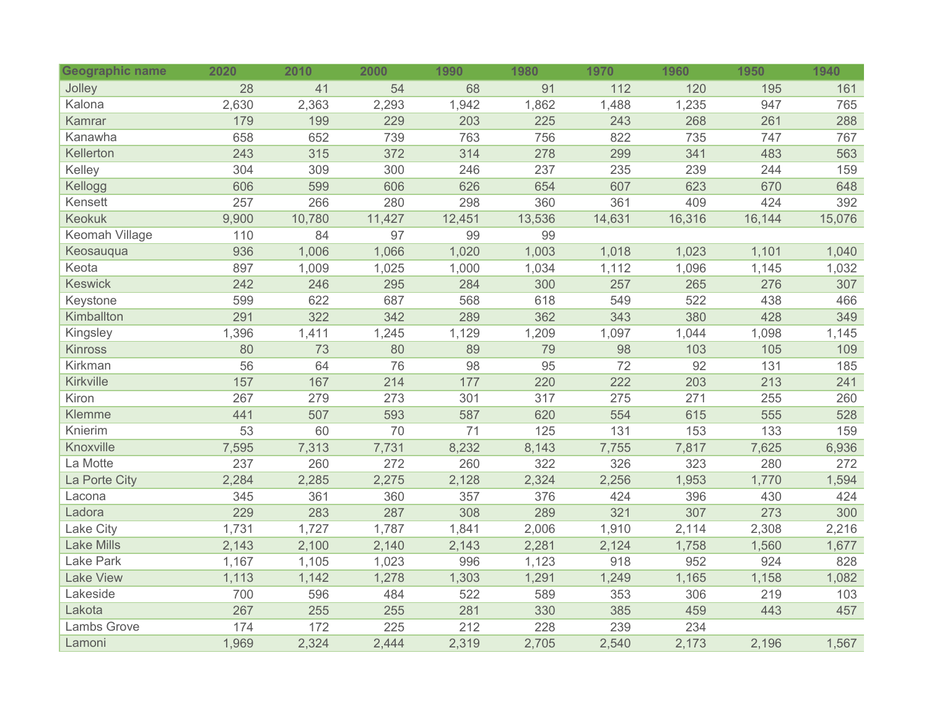| <b>Geographic name</b> | 2020  | 2010   | 2000   | 1990   | 1980   | 1970   | 1960   | 1950   | 1940   |
|------------------------|-------|--------|--------|--------|--------|--------|--------|--------|--------|
| Jolley                 | 28    | 41     | 54     | 68     | 91     | 112    | 120    | 195    | 161    |
| Kalona                 | 2,630 | 2,363  | 2,293  | 1,942  | 1,862  | 1,488  | 1,235  | 947    | 765    |
| Kamrar                 | 179   | 199    | 229    | 203    | 225    | 243    | 268    | 261    | 288    |
| Kanawha                | 658   | 652    | 739    | 763    | 756    | 822    | 735    | 747    | 767    |
| Kellerton              | 243   | 315    | 372    | 314    | 278    | 299    | 341    | 483    | 563    |
| Kelley                 | 304   | 309    | 300    | 246    | 237    | 235    | 239    | 244    | 159    |
| Kellogg                | 606   | 599    | 606    | 626    | 654    | 607    | 623    | 670    | 648    |
| Kensett                | 257   | 266    | 280    | 298    | 360    | 361    | 409    | 424    | 392    |
| <b>Keokuk</b>          | 9,900 | 10,780 | 11,427 | 12,451 | 13,536 | 14,631 | 16,316 | 16,144 | 15,076 |
| Keomah Village         | 110   | 84     | 97     | 99     | 99     |        |        |        |        |
| Keosauqua              | 936   | 1,006  | 1,066  | 1,020  | 1,003  | 1,018  | 1,023  | 1,101  | 1,040  |
| Keota                  | 897   | 1,009  | 1,025  | 1,000  | 1,034  | 1,112  | 1,096  | 1,145  | 1,032  |
| <b>Keswick</b>         | 242   | 246    | 295    | 284    | 300    | 257    | 265    | 276    | 307    |
| Keystone               | 599   | 622    | 687    | 568    | 618    | 549    | 522    | 438    | 466    |
| Kimballton             | 291   | 322    | 342    | 289    | 362    | 343    | 380    | 428    | 349    |
| Kingsley               | 1,396 | 1,411  | 1,245  | 1,129  | 1,209  | 1,097  | 1,044  | 1,098  | 1,145  |
| <b>Kinross</b>         | 80    | 73     | 80     | 89     | 79     | 98     | 103    | 105    | 109    |
| Kirkman                | 56    | 64     | 76     | 98     | 95     | 72     | 92     | 131    | 185    |
| Kirkville              | 157   | 167    | 214    | 177    | 220    | 222    | 203    | 213    | 241    |
| Kiron                  | 267   | 279    | 273    | 301    | 317    | 275    | 271    | 255    | 260    |
| Klemme                 | 441   | 507    | 593    | 587    | 620    | 554    | 615    | 555    | 528    |
| Knierim                | 53    | 60     | 70     | 71     | 125    | 131    | 153    | 133    | 159    |
| Knoxville              | 7,595 | 7,313  | 7,731  | 8,232  | 8,143  | 7,755  | 7,817  | 7,625  | 6,936  |
| La Motte               | 237   | 260    | 272    | 260    | 322    | 326    | 323    | 280    | 272    |
| La Porte City          | 2,284 | 2,285  | 2,275  | 2,128  | 2,324  | 2,256  | 1,953  | 1,770  | 1,594  |
| Lacona                 | 345   | 361    | 360    | 357    | 376    | 424    | 396    | 430    | 424    |
| Ladora                 | 229   | 283    | 287    | 308    | 289    | 321    | 307    | 273    | 300    |
| Lake City              | 1,731 | 1,727  | 1,787  | 1,841  | 2,006  | 1,910  | 2,114  | 2,308  | 2,216  |
| <b>Lake Mills</b>      | 2,143 | 2,100  | 2,140  | 2,143  | 2,281  | 2,124  | 1,758  | 1,560  | 1,677  |
| Lake Park              | 1,167 | 1,105  | 1,023  | 996    | 1,123  | 918    | 952    | 924    | 828    |
| <b>Lake View</b>       | 1,113 | 1,142  | 1,278  | 1,303  | 1,291  | 1,249  | 1,165  | 1,158  | 1,082  |
| Lakeside               | 700   | 596    | 484    | 522    | 589    | 353    | 306    | 219    | 103    |
| Lakota                 | 267   | 255    | 255    | 281    | 330    | 385    | 459    | 443    | 457    |
| Lambs Grove            | 174   | 172    | 225    | 212    | 228    | 239    | 234    |        |        |
| Lamoni                 | 1,969 | 2,324  | 2,444  | 2,319  | 2,705  | 2,540  | 2,173  | 2,196  | 1,567  |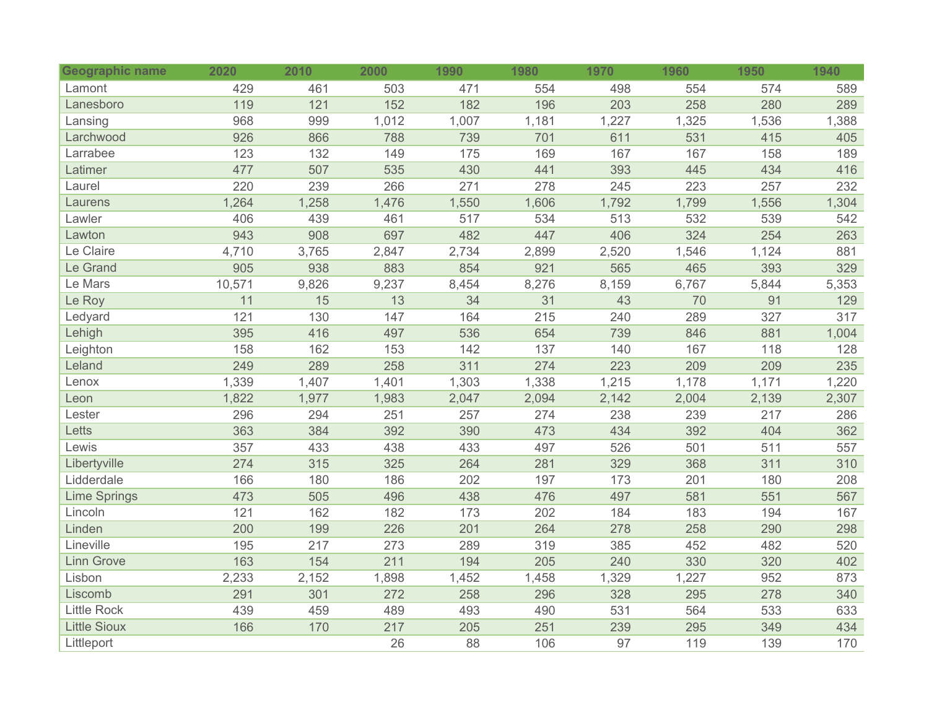| Geographic name     | 2020   | 2010  | 2000  | 1990  | 1980  | 1970  | 1960  | 1950  | 1940  |
|---------------------|--------|-------|-------|-------|-------|-------|-------|-------|-------|
| Lamont              | 429    | 461   | 503   | 471   | 554   | 498   | 554   | 574   | 589   |
| Lanesboro           | 119    | 121   | 152   | 182   | 196   | 203   | 258   | 280   | 289   |
| Lansing             | 968    | 999   | 1,012 | 1,007 | 1,181 | 1,227 | 1,325 | 1,536 | 1,388 |
| Larchwood           | 926    | 866   | 788   | 739   | 701   | 611   | 531   | 415   | 405   |
| Larrabee            | 123    | 132   | 149   | 175   | 169   | 167   | 167   | 158   | 189   |
| Latimer             | 477    | 507   | 535   | 430   | 441   | 393   | 445   | 434   | 416   |
| Laurel              | 220    | 239   | 266   | 271   | 278   | 245   | 223   | 257   | 232   |
| Laurens             | 1,264  | 1,258 | 1,476 | 1,550 | 1,606 | 1,792 | 1,799 | 1,556 | 1,304 |
| Lawler              | 406    | 439   | 461   | 517   | 534   | 513   | 532   | 539   | 542   |
| Lawton              | 943    | 908   | 697   | 482   | 447   | 406   | 324   | 254   | 263   |
| Le Claire           | 4,710  | 3,765 | 2,847 | 2,734 | 2,899 | 2,520 | 1,546 | 1,124 | 881   |
| Le Grand            | 905    | 938   | 883   | 854   | 921   | 565   | 465   | 393   | 329   |
| Le Mars             | 10,571 | 9,826 | 9,237 | 8,454 | 8,276 | 8,159 | 6,767 | 5,844 | 5,353 |
| Le Roy              | 11     | 15    | 13    | 34    | 31    | 43    | 70    | 91    | 129   |
| Ledyard             | 121    | 130   | 147   | 164   | 215   | 240   | 289   | 327   | 317   |
| Lehigh              | 395    | 416   | 497   | 536   | 654   | 739   | 846   | 881   | 1,004 |
| Leighton            | 158    | 162   | 153   | 142   | 137   | 140   | 167   | 118   | 128   |
| Leland              | 249    | 289   | 258   | 311   | 274   | 223   | 209   | 209   | 235   |
| Lenox               | 1,339  | 1,407 | 1,401 | 1,303 | 1,338 | 1,215 | 1,178 | 1,171 | 1,220 |
| Leon                | 1,822  | 1,977 | 1,983 | 2,047 | 2,094 | 2,142 | 2,004 | 2,139 | 2,307 |
| Lester              | 296    | 294   | 251   | 257   | 274   | 238   | 239   | 217   | 286   |
| Letts               | 363    | 384   | 392   | 390   | 473   | 434   | 392   | 404   | 362   |
| Lewis               | 357    | 433   | 438   | 433   | 497   | 526   | 501   | 511   | 557   |
| Libertyville        | 274    | 315   | 325   | 264   | 281   | 329   | 368   | 311   | 310   |
| Lidderdale          | 166    | 180   | 186   | 202   | 197   | 173   | 201   | 180   | 208   |
| <b>Lime Springs</b> | 473    | 505   | 496   | 438   | 476   | 497   | 581   | 551   | 567   |
| Lincoln             | 121    | 162   | 182   | 173   | 202   | 184   | 183   | 194   | 167   |
| Linden              | 200    | 199   | 226   | 201   | 264   | 278   | 258   | 290   | 298   |
| Lineville           | 195    | 217   | 273   | 289   | 319   | 385   | 452   | 482   | 520   |
| <b>Linn Grove</b>   | 163    | 154   | 211   | 194   | 205   | 240   | 330   | 320   | 402   |
| Lisbon              | 2,233  | 2,152 | 1,898 | 1,452 | 1,458 | 1,329 | 1,227 | 952   | 873   |
| Liscomb             | 291    | 301   | 272   | 258   | 296   | 328   | 295   | 278   | 340   |
| <b>Little Rock</b>  | 439    | 459   | 489   | 493   | 490   | 531   | 564   | 533   | 633   |
| <b>Little Sioux</b> | 166    | 170   | 217   | 205   | 251   | 239   | 295   | 349   | 434   |
| Littleport          |        |       | 26    | 88    | 106   | 97    | 119   | 139   | 170   |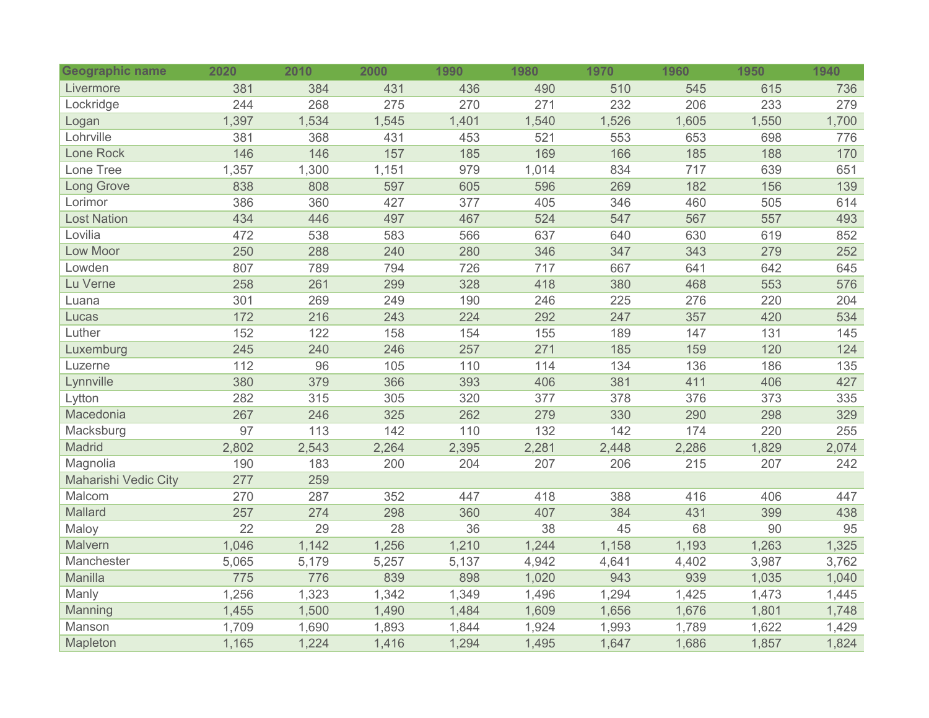| Geographic name      | 2020  | 2010  | 2000  | 1990  | 1980  | 1970  | 1960  | 1950  | 1940  |
|----------------------|-------|-------|-------|-------|-------|-------|-------|-------|-------|
| Livermore            | 381   | 384   | 431   | 436   | 490   | 510   | 545   | 615   | 736   |
| Lockridge            | 244   | 268   | 275   | 270   | 271   | 232   | 206   | 233   | 279   |
| Logan                | 1,397 | 1,534 | 1,545 | 1,401 | 1,540 | 1,526 | 1,605 | 1,550 | 1,700 |
| Lohrville            | 381   | 368   | 431   | 453   | 521   | 553   | 653   | 698   | 776   |
| Lone Rock            | 146   | 146   | 157   | 185   | 169   | 166   | 185   | 188   | 170   |
| Lone Tree            | 1,357 | 1,300 | 1,151 | 979   | 1,014 | 834   | 717   | 639   | 651   |
| <b>Long Grove</b>    | 838   | 808   | 597   | 605   | 596   | 269   | 182   | 156   | 139   |
| Lorimor              | 386   | 360   | 427   | 377   | 405   | 346   | 460   | 505   | 614   |
| <b>Lost Nation</b>   | 434   | 446   | 497   | 467   | 524   | 547   | 567   | 557   | 493   |
| Lovilia              | 472   | 538   | 583   | 566   | 637   | 640   | 630   | 619   | 852   |
| Low Moor             | 250   | 288   | 240   | 280   | 346   | 347   | 343   | 279   | 252   |
| Lowden               | 807   | 789   | 794   | 726   | 717   | 667   | 641   | 642   | 645   |
| Lu Verne             | 258   | 261   | 299   | 328   | 418   | 380   | 468   | 553   | 576   |
| Luana                | 301   | 269   | 249   | 190   | 246   | 225   | 276   | 220   | 204   |
| Lucas                | 172   | 216   | 243   | 224   | 292   | 247   | 357   | 420   | 534   |
| Luther               | 152   | 122   | 158   | 154   | 155   | 189   | 147   | 131   | 145   |
| Luxemburg            | 245   | 240   | 246   | 257   | 271   | 185   | 159   | 120   | 124   |
| Luzerne              | 112   | 96    | 105   | 110   | 114   | 134   | 136   | 186   | 135   |
| Lynnville            | 380   | 379   | 366   | 393   | 406   | 381   | 411   | 406   | 427   |
| Lytton               | 282   | 315   | 305   | 320   | 377   | 378   | 376   | 373   | 335   |
| Macedonia            | 267   | 246   | 325   | 262   | 279   | 330   | 290   | 298   | 329   |
| Macksburg            | 97    | 113   | 142   | 110   | 132   | 142   | 174   | 220   | 255   |
| Madrid               | 2,802 | 2,543 | 2,264 | 2,395 | 2,281 | 2,448 | 2,286 | 1,829 | 2,074 |
| Magnolia             | 190   | 183   | 200   | 204   | 207   | 206   | 215   | 207   | 242   |
| Maharishi Vedic City | 277   | 259   |       |       |       |       |       |       |       |
| Malcom               | 270   | 287   | 352   | 447   | 418   | 388   | 416   | 406   | 447   |
| Mallard              | 257   | 274   | 298   | 360   | 407   | 384   | 431   | 399   | 438   |
| Maloy                | 22    | 29    | 28    | 36    | 38    | 45    | 68    | 90    | 95    |
| Malvern              | 1,046 | 1,142 | 1,256 | 1,210 | 1,244 | 1,158 | 1,193 | 1,263 | 1,325 |
| Manchester           | 5,065 | 5,179 | 5,257 | 5,137 | 4,942 | 4,641 | 4,402 | 3,987 | 3,762 |
| Manilla              | 775   | 776   | 839   | 898   | 1,020 | 943   | 939   | 1,035 | 1,040 |
| Manly                | 1,256 | 1,323 | 1,342 | 1,349 | 1,496 | 1,294 | 1,425 | 1,473 | 1,445 |
| Manning              | 1,455 | 1,500 | 1,490 | 1,484 | 1,609 | 1,656 | 1,676 | 1,801 | 1,748 |
| Manson               | 1,709 | 1,690 | 1,893 | 1,844 | 1,924 | 1,993 | 1,789 | 1,622 | 1,429 |
| Mapleton             | 1,165 | 1,224 | 1,416 | 1,294 | 1,495 | 1,647 | 1,686 | 1,857 | 1,824 |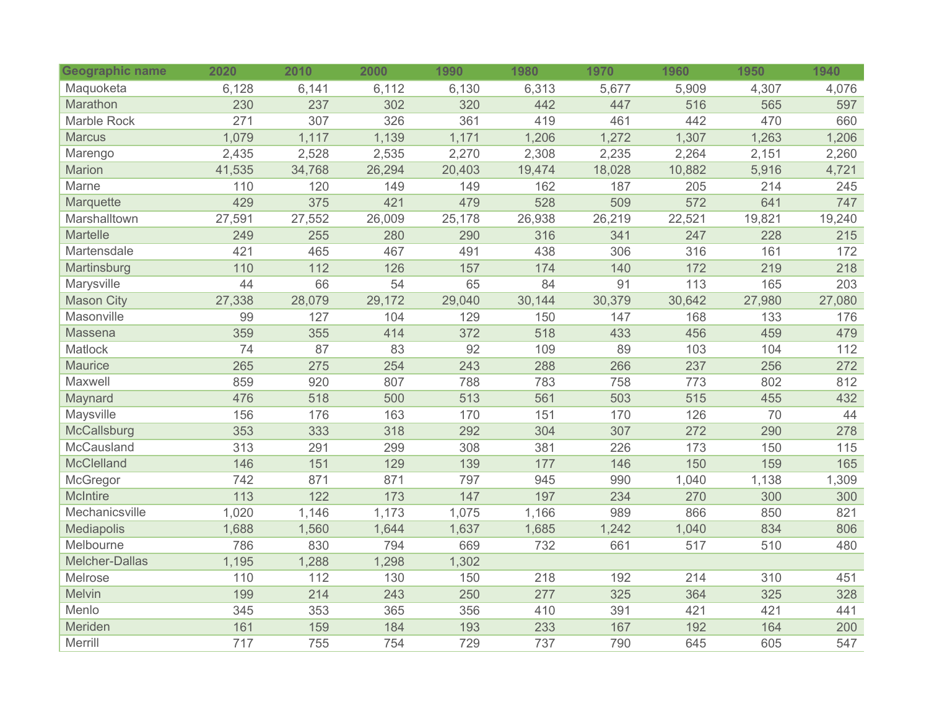| Geographic name   | 2020   | 2010   | 2000   | 1990   | 1980   | 1970   | 1960   | 1950   | 1940   |
|-------------------|--------|--------|--------|--------|--------|--------|--------|--------|--------|
| Maquoketa         | 6,128  | 6,141  | 6,112  | 6,130  | 6,313  | 5,677  | 5,909  | 4,307  | 4,076  |
| Marathon          | 230    | 237    | 302    | 320    | 442    | 447    | 516    | 565    | 597    |
| Marble Rock       | 271    | 307    | 326    | 361    | 419    | 461    | 442    | 470    | 660    |
| <b>Marcus</b>     | 1,079  | 1,117  | 1,139  | 1,171  | 1,206  | 1,272  | 1,307  | 1,263  | 1,206  |
| Marengo           | 2,435  | 2,528  | 2,535  | 2,270  | 2,308  | 2,235  | 2,264  | 2,151  | 2,260  |
| Marion            | 41,535 | 34,768 | 26,294 | 20,403 | 19,474 | 18,028 | 10,882 | 5,916  | 4,721  |
| Marne             | 110    | 120    | 149    | 149    | 162    | 187    | 205    | 214    | 245    |
| Marquette         | 429    | 375    | 421    | 479    | 528    | 509    | 572    | 641    | 747    |
| Marshalltown      | 27,591 | 27,552 | 26,009 | 25,178 | 26,938 | 26,219 | 22,521 | 19,821 | 19,240 |
| Martelle          | 249    | 255    | 280    | 290    | 316    | 341    | 247    | 228    | 215    |
| Martensdale       | 421    | 465    | 467    | 491    | 438    | 306    | 316    | 161    | 172    |
| Martinsburg       | 110    | 112    | 126    | 157    | 174    | 140    | 172    | 219    | 218    |
| Marysville        | 44     | 66     | 54     | 65     | 84     | 91     | 113    | 165    | 203    |
| <b>Mason City</b> | 27,338 | 28,079 | 29,172 | 29,040 | 30,144 | 30,379 | 30,642 | 27,980 | 27,080 |
| Masonville        | 99     | 127    | 104    | 129    | 150    | 147    | 168    | 133    | 176    |
| Massena           | 359    | 355    | 414    | 372    | 518    | 433    | 456    | 459    | 479    |
| Matlock           | 74     | 87     | 83     | 92     | 109    | 89     | 103    | 104    | 112    |
| <b>Maurice</b>    | 265    | 275    | 254    | 243    | 288    | 266    | 237    | 256    | 272    |
| Maxwell           | 859    | 920    | 807    | 788    | 783    | 758    | 773    | 802    | 812    |
| Maynard           | 476    | 518    | 500    | 513    | 561    | 503    | 515    | 455    | 432    |
| Maysville         | 156    | 176    | 163    | 170    | 151    | 170    | 126    | 70     | 44     |
| McCallsburg       | 353    | 333    | 318    | 292    | 304    | 307    | 272    | 290    | 278    |
| McCausland        | 313    | 291    | 299    | 308    | 381    | 226    | 173    | 150    | 115    |
| <b>McClelland</b> | 146    | 151    | 129    | 139    | 177    | 146    | 150    | 159    | 165    |
| McGregor          | 742    | 871    | 871    | 797    | 945    | 990    | 1,040  | 1,138  | 1,309  |
| <b>McIntire</b>   | 113    | 122    | 173    | 147    | 197    | 234    | 270    | 300    | 300    |
| Mechanicsville    | 1,020  | 1,146  | 1,173  | 1,075  | 1,166  | 989    | 866    | 850    | 821    |
| Mediapolis        | 1,688  | 1,560  | 1,644  | 1,637  | 1,685  | 1,242  | 1,040  | 834    | 806    |
| Melbourne         | 786    | 830    | 794    | 669    | 732    | 661    | 517    | 510    | 480    |
| Melcher-Dallas    | 1,195  | 1,288  | 1,298  | 1,302  |        |        |        |        |        |
| Melrose           | 110    | 112    | 130    | 150    | 218    | 192    | 214    | 310    | 451    |
| Melvin            | 199    | 214    | 243    | 250    | 277    | 325    | 364    | 325    | 328    |
| Menlo             | 345    | 353    | 365    | 356    | 410    | 391    | 421    | 421    | 441    |
| Meriden           | 161    | 159    | 184    | 193    | 233    | 167    | 192    | 164    | 200    |
| Merrill           | 717    | 755    | 754    | 729    | 737    | 790    | 645    | 605    | 547    |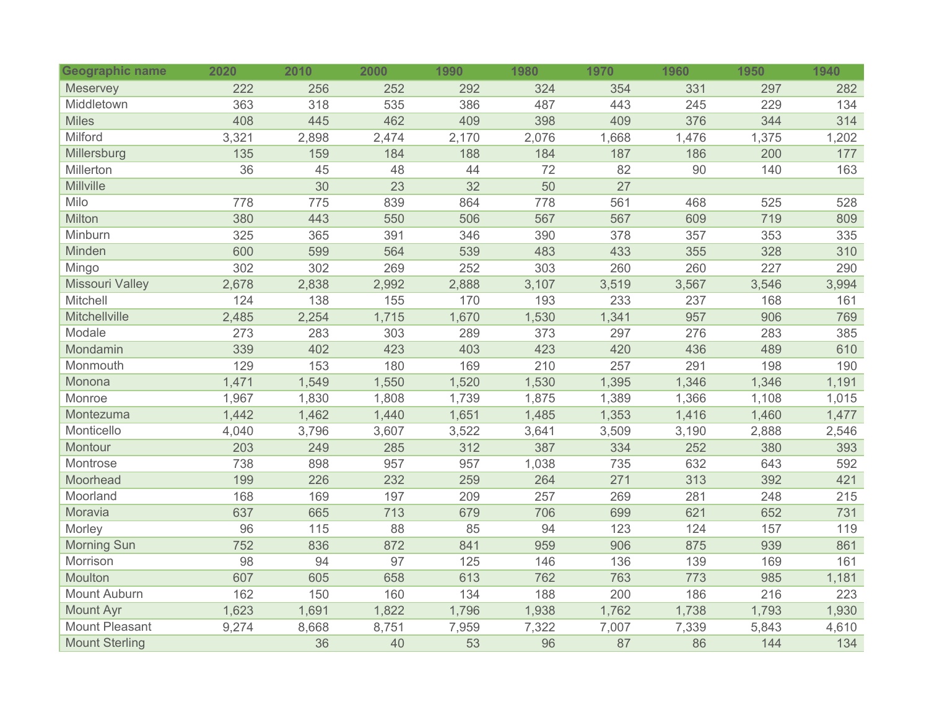| Geographic name        | 2020  | 2010  | 2000  | 1990  | 1980  | 1970  | 1960  | 1950  | 1940  |
|------------------------|-------|-------|-------|-------|-------|-------|-------|-------|-------|
| Meservey               | 222   | 256   | 252   | 292   | 324   | 354   | 331   | 297   | 282   |
| Middletown             | 363   | 318   | 535   | 386   | 487   | 443   | 245   | 229   | 134   |
| <b>Miles</b>           | 408   | 445   | 462   | 409   | 398   | 409   | 376   | 344   | 314   |
| Milford                | 3,321 | 2,898 | 2,474 | 2,170 | 2,076 | 1,668 | 1,476 | 1,375 | 1,202 |
| Millersburg            | 135   | 159   | 184   | 188   | 184   | 187   | 186   | 200   | 177   |
| Millerton              | 36    | 45    | 48    | 44    | 72    | 82    | 90    | 140   | 163   |
| Millville              |       | 30    | 23    | 32    | 50    | 27    |       |       |       |
| Milo                   | 778   | 775   | 839   | 864   | 778   | 561   | 468   | 525   | 528   |
| Milton                 | 380   | 443   | 550   | 506   | 567   | 567   | 609   | 719   | 809   |
| Minburn                | 325   | 365   | 391   | 346   | 390   | 378   | 357   | 353   | 335   |
| Minden                 | 600   | 599   | 564   | 539   | 483   | 433   | 355   | 328   | 310   |
| Mingo                  | 302   | 302   | 269   | 252   | 303   | 260   | 260   | 227   | 290   |
| <b>Missouri Valley</b> | 2,678 | 2,838 | 2,992 | 2,888 | 3,107 | 3,519 | 3,567 | 3,546 | 3,994 |
| Mitchell               | 124   | 138   | 155   | 170   | 193   | 233   | 237   | 168   | 161   |
| Mitchellville          | 2,485 | 2,254 | 1,715 | 1,670 | 1,530 | 1,341 | 957   | 906   | 769   |
| Modale                 | 273   | 283   | 303   | 289   | 373   | 297   | 276   | 283   | 385   |
| Mondamin               | 339   | 402   | 423   | 403   | 423   | 420   | 436   | 489   | 610   |
| Monmouth               | 129   | 153   | 180   | 169   | 210   | 257   | 291   | 198   | 190   |
| Monona                 | 1,471 | 1,549 | 1,550 | 1,520 | 1,530 | 1,395 | 1,346 | 1,346 | 1,191 |
| Monroe                 | 1,967 | 1,830 | 1,808 | 1,739 | 1,875 | 1,389 | 1,366 | 1,108 | 1,015 |
| Montezuma              | 1,442 | 1,462 | 1,440 | 1,651 | 1,485 | 1,353 | 1,416 | 1,460 | 1,477 |
| Monticello             | 4,040 | 3,796 | 3,607 | 3,522 | 3,641 | 3,509 | 3,190 | 2,888 | 2,546 |
| Montour                | 203   | 249   | 285   | 312   | 387   | 334   | 252   | 380   | 393   |
| Montrose               | 738   | 898   | 957   | 957   | 1,038 | 735   | 632   | 643   | 592   |
| Moorhead               | 199   | 226   | 232   | 259   | 264   | 271   | 313   | 392   | 421   |
| Moorland               | 168   | 169   | 197   | 209   | 257   | 269   | 281   | 248   | 215   |
| Moravia                | 637   | 665   | 713   | 679   | 706   | 699   | 621   | 652   | 731   |
| Morley                 | 96    | 115   | 88    | 85    | 94    | 123   | 124   | 157   | 119   |
| <b>Morning Sun</b>     | 752   | 836   | 872   | 841   | 959   | 906   | 875   | 939   | 861   |
| Morrison               | 98    | 94    | 97    | 125   | 146   | 136   | 139   | 169   | 161   |
| Moulton                | 607   | 605   | 658   | 613   | 762   | 763   | 773   | 985   | 1,181 |
| Mount Auburn           | 162   | 150   | 160   | 134   | 188   | 200   | 186   | 216   | 223   |
| <b>Mount Ayr</b>       | 1,623 | 1,691 | 1,822 | 1,796 | 1,938 | 1,762 | 1,738 | 1,793 | 1,930 |
| <b>Mount Pleasant</b>  | 9,274 | 8,668 | 8,751 | 7,959 | 7,322 | 7,007 | 7,339 | 5,843 | 4,610 |
| <b>Mount Sterling</b>  |       | 36    | 40    | 53    | 96    | 87    | 86    | 144   | 134   |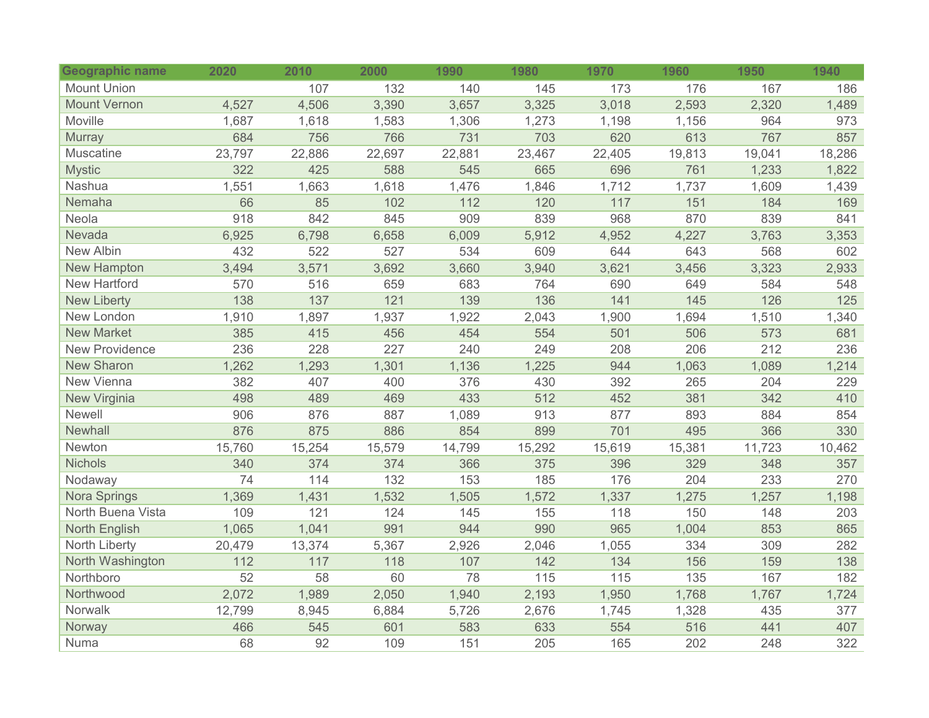| Geographic name       | 2020   | 2010   | 2000   | 1990   | 1980   | 1970   | 1960   | 1950   | 1940   |
|-----------------------|--------|--------|--------|--------|--------|--------|--------|--------|--------|
| <b>Mount Union</b>    |        | 107    | 132    | 140    | 145    | 173    | 176    | 167    | 186    |
| <b>Mount Vernon</b>   | 4,527  | 4,506  | 3,390  | 3,657  | 3,325  | 3,018  | 2,593  | 2,320  | 1,489  |
| Moville               | 1,687  | 1,618  | 1,583  | 1,306  | 1,273  | 1,198  | 1,156  | 964    | 973    |
| Murray                | 684    | 756    | 766    | 731    | 703    | 620    | 613    | 767    | 857    |
| Muscatine             | 23,797 | 22,886 | 22,697 | 22,881 | 23,467 | 22,405 | 19,813 | 19,041 | 18,286 |
| <b>Mystic</b>         | 322    | 425    | 588    | 545    | 665    | 696    | 761    | 1,233  | 1,822  |
| Nashua                | 1,551  | 1,663  | 1,618  | 1,476  | 1,846  | 1,712  | 1,737  | 1,609  | 1,439  |
| Nemaha                | 66     | 85     | 102    | 112    | 120    | 117    | 151    | 184    | 169    |
| Neola                 | 918    | 842    | 845    | 909    | 839    | 968    | 870    | 839    | 841    |
| Nevada                | 6,925  | 6,798  | 6,658  | 6,009  | 5,912  | 4,952  | 4,227  | 3,763  | 3,353  |
| New Albin             | 432    | 522    | 527    | 534    | 609    | 644    | 643    | 568    | 602    |
| <b>New Hampton</b>    | 3,494  | 3,571  | 3,692  | 3,660  | 3,940  | 3,621  | 3,456  | 3,323  | 2,933  |
| <b>New Hartford</b>   | 570    | 516    | 659    | 683    | 764    | 690    | 649    | 584    | 548    |
| <b>New Liberty</b>    | 138    | 137    | 121    | 139    | 136    | 141    | 145    | 126    | 125    |
| New London            | 1,910  | 1,897  | 1,937  | 1,922  | 2,043  | 1,900  | 1,694  | 1,510  | 1,340  |
| <b>New Market</b>     | 385    | 415    | 456    | 454    | 554    | 501    | 506    | 573    | 681    |
| <b>New Providence</b> | 236    | 228    | 227    | 240    | 249    | 208    | 206    | 212    | 236    |
| <b>New Sharon</b>     | 1,262  | 1,293  | 1,301  | 1,136  | 1,225  | 944    | 1,063  | 1,089  | 1,214  |
| New Vienna            | 382    | 407    | 400    | 376    | 430    | 392    | 265    | 204    | 229    |
| New Virginia          | 498    | 489    | 469    | 433    | 512    | 452    | 381    | 342    | 410    |
| Newell                | 906    | 876    | 887    | 1,089  | 913    | 877    | 893    | 884    | 854    |
| Newhall               | 876    | 875    | 886    | 854    | 899    | 701    | 495    | 366    | 330    |
| Newton                | 15,760 | 15,254 | 15,579 | 14,799 | 15,292 | 15,619 | 15,381 | 11,723 | 10,462 |
| <b>Nichols</b>        | 340    | 374    | 374    | 366    | 375    | 396    | 329    | 348    | 357    |
| Nodaway               | 74     | 114    | 132    | 153    | 185    | 176    | 204    | 233    | 270    |
| Nora Springs          | 1,369  | 1,431  | 1,532  | 1,505  | 1,572  | 1,337  | 1,275  | 1,257  | 1,198  |
| North Buena Vista     | 109    | 121    | 124    | 145    | 155    | 118    | 150    | 148    | 203    |
| North English         | 1,065  | 1,041  | 991    | 944    | 990    | 965    | 1,004  | 853    | 865    |
| North Liberty         | 20,479 | 13,374 | 5,367  | 2,926  | 2,046  | 1,055  | 334    | 309    | 282    |
| North Washington      | 112    | 117    | 118    | 107    | 142    | 134    | 156    | 159    | 138    |
| Northboro             | 52     | 58     | 60     | 78     | 115    | 115    | 135    | 167    | 182    |
| Northwood             | 2,072  | 1,989  | 2,050  | 1,940  | 2,193  | 1,950  | 1,768  | 1,767  | 1,724  |
| Norwalk               | 12,799 | 8,945  | 6,884  | 5,726  | 2,676  | 1,745  | 1,328  | 435    | 377    |
| Norway                | 466    | 545    | 601    | 583    | 633    | 554    | 516    | 441    | 407    |
| Numa                  | 68     | 92     | 109    | 151    | 205    | 165    | 202    | 248    | 322    |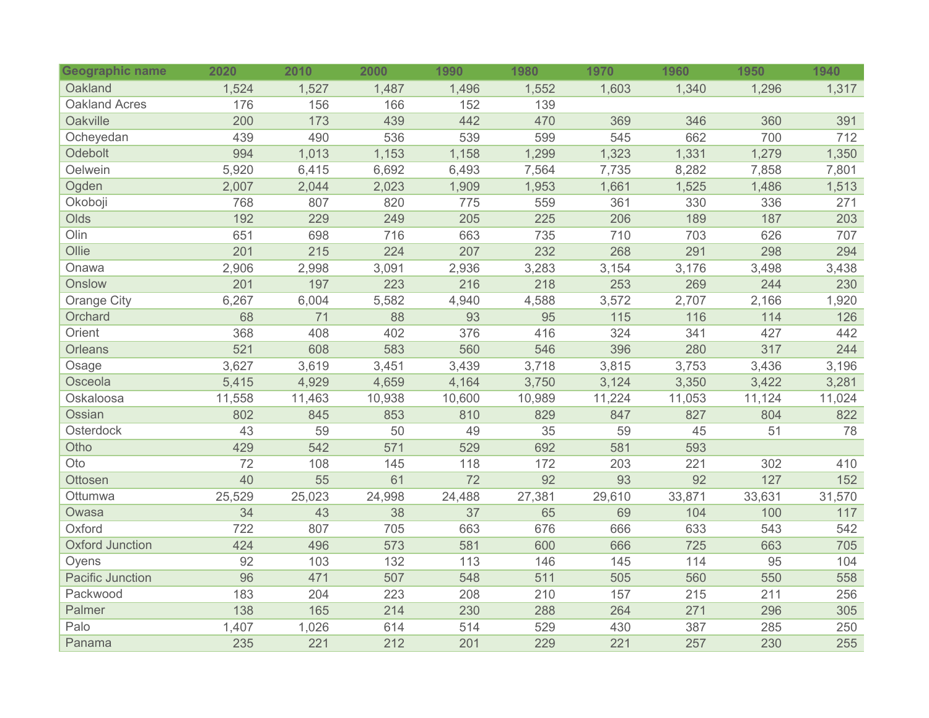| <b>Geographic name</b>  | 2020   | 2010   | 2000   | 1990   | 1980   | 1970   | 1960   | 1950   | 1940   |
|-------------------------|--------|--------|--------|--------|--------|--------|--------|--------|--------|
| Oakland                 | 1,524  | 1,527  | 1,487  | 1,496  | 1,552  | 1,603  | 1,340  | 1,296  | 1,317  |
| <b>Oakland Acres</b>    | 176    | 156    | 166    | 152    | 139    |        |        |        |        |
| Oakville                | 200    | 173    | 439    | 442    | 470    | 369    | 346    | 360    | 391    |
| Ocheyedan               | 439    | 490    | 536    | 539    | 599    | 545    | 662    | 700    | 712    |
| <b>Odebolt</b>          | 994    | 1,013  | 1,153  | 1,158  | 1,299  | 1,323  | 1,331  | 1,279  | 1,350  |
| Oelwein                 | 5,920  | 6,415  | 6,692  | 6,493  | 7,564  | 7,735  | 8,282  | 7,858  | 7,801  |
| Ogden                   | 2,007  | 2,044  | 2,023  | 1,909  | 1,953  | 1,661  | 1,525  | 1,486  | 1,513  |
| Okoboji                 | 768    | 807    | 820    | 775    | 559    | 361    | 330    | 336    | 271    |
| Olds                    | 192    | 229    | 249    | 205    | 225    | 206    | 189    | 187    | 203    |
| Olin                    | 651    | 698    | 716    | 663    | 735    | 710    | 703    | 626    | 707    |
| Ollie                   | 201    | 215    | 224    | 207    | 232    | 268    | 291    | 298    | 294    |
| Onawa                   | 2,906  | 2,998  | 3,091  | 2,936  | 3,283  | 3,154  | 3,176  | 3,498  | 3,438  |
| Onslow                  | 201    | 197    | 223    | 216    | 218    | 253    | 269    | 244    | 230    |
| <b>Orange City</b>      | 6,267  | 6,004  | 5,582  | 4,940  | 4,588  | 3,572  | 2,707  | 2,166  | 1,920  |
| Orchard                 | 68     | 71     | 88     | 93     | 95     | 115    | 116    | 114    | 126    |
| Orient                  | 368    | 408    | 402    | 376    | 416    | 324    | 341    | 427    | 442    |
| Orleans                 | 521    | 608    | 583    | 560    | 546    | 396    | 280    | 317    | 244    |
| Osage                   | 3,627  | 3,619  | 3,451  | 3,439  | 3,718  | 3,815  | 3,753  | 3,436  | 3,196  |
| Osceola                 | 5,415  | 4,929  | 4,659  | 4,164  | 3,750  | 3,124  | 3,350  | 3,422  | 3,281  |
| Oskaloosa               | 11,558 | 11,463 | 10,938 | 10,600 | 10,989 | 11,224 | 11,053 | 11,124 | 11,024 |
| Ossian                  | 802    | 845    | 853    | 810    | 829    | 847    | 827    | 804    | 822    |
| Osterdock               | 43     | 59     | 50     | 49     | 35     | 59     | 45     | 51     | 78     |
| Otho                    | 429    | 542    | 571    | 529    | 692    | 581    | 593    |        |        |
| Oto                     | 72     | 108    | 145    | 118    | 172    | 203    | 221    | 302    | 410    |
| Ottosen                 | 40     | 55     | 61     | 72     | 92     | 93     | 92     | 127    | 152    |
| Ottumwa                 | 25,529 | 25,023 | 24,998 | 24,488 | 27,381 | 29,610 | 33,871 | 33,631 | 31,570 |
| Owasa                   | 34     | 43     | 38     | 37     | 65     | 69     | 104    | 100    | 117    |
| Oxford                  | 722    | 807    | 705    | 663    | 676    | 666    | 633    | 543    | 542    |
| <b>Oxford Junction</b>  | 424    | 496    | 573    | 581    | 600    | 666    | 725    | 663    | 705    |
| Oyens                   | 92     | 103    | 132    | 113    | 146    | 145    | 114    | 95     | 104    |
| <b>Pacific Junction</b> | 96     | 471    | 507    | 548    | 511    | 505    | 560    | 550    | 558    |
| Packwood                | 183    | 204    | 223    | 208    | 210    | 157    | 215    | 211    | 256    |
| Palmer                  | 138    | 165    | 214    | 230    | 288    | 264    | 271    | 296    | 305    |
| Palo                    | 1,407  | 1,026  | 614    | 514    | 529    | 430    | 387    | 285    | 250    |
| Panama                  | 235    | 221    | 212    | 201    | 229    | 221    | 257    | 230    | 255    |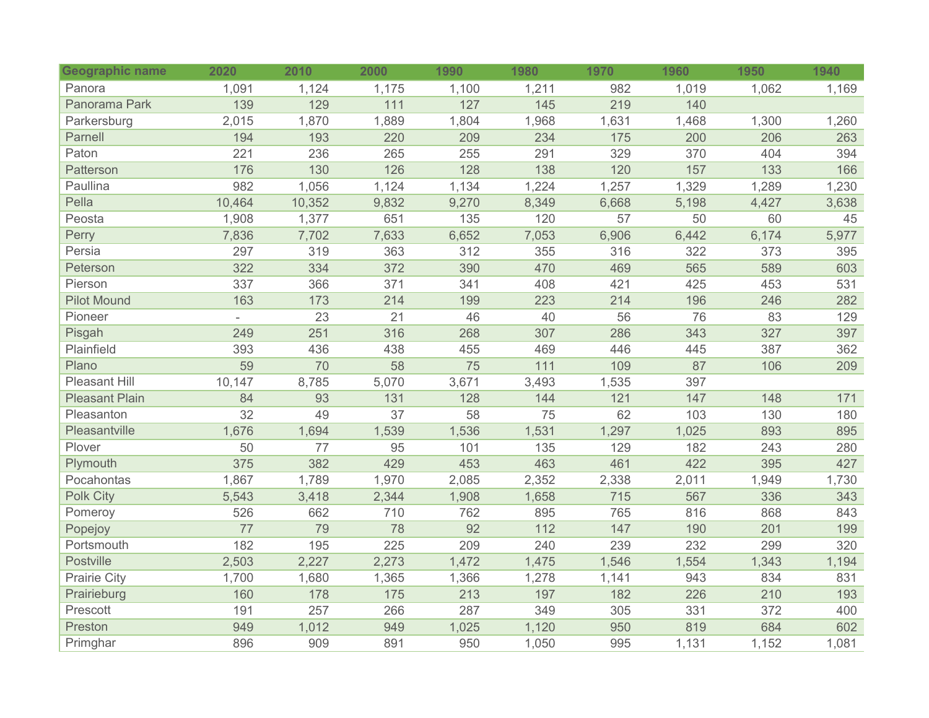| <b>Geographic name</b> | 2020   | 2010   | 2000  | 1990  | 1980  | 1970  | 1960  | 1950  | 1940  |
|------------------------|--------|--------|-------|-------|-------|-------|-------|-------|-------|
| Panora                 | 1,091  | 1,124  | 1,175 | 1,100 | 1,211 | 982   | 1,019 | 1,062 | 1,169 |
| Panorama Park          | 139    | 129    | 111   | 127   | 145   | 219   | 140   |       |       |
| Parkersburg            | 2,015  | 1,870  | 1,889 | 1,804 | 1,968 | 1,631 | 1,468 | 1,300 | 1,260 |
| Parnell                | 194    | 193    | 220   | 209   | 234   | 175   | 200   | 206   | 263   |
| Paton                  | 221    | 236    | 265   | 255   | 291   | 329   | 370   | 404   | 394   |
| Patterson              | 176    | 130    | 126   | 128   | 138   | 120   | 157   | 133   | 166   |
| Paullina               | 982    | 1,056  | 1,124 | 1,134 | 1,224 | 1,257 | 1,329 | 1,289 | 1,230 |
| Pella                  | 10,464 | 10,352 | 9,832 | 9,270 | 8,349 | 6,668 | 5,198 | 4,427 | 3,638 |
| Peosta                 | 1,908  | 1,377  | 651   | 135   | 120   | 57    | 50    | 60    | 45    |
| Perry                  | 7,836  | 7,702  | 7,633 | 6,652 | 7,053 | 6,906 | 6,442 | 6,174 | 5,977 |
| Persia                 | 297    | 319    | 363   | 312   | 355   | 316   | 322   | 373   | 395   |
| Peterson               | 322    | 334    | 372   | 390   | 470   | 469   | 565   | 589   | 603   |
| Pierson                | 337    | 366    | 371   | 341   | 408   | 421   | 425   | 453   | 531   |
| <b>Pilot Mound</b>     | 163    | 173    | 214   | 199   | 223   | 214   | 196   | 246   | 282   |
| Pioneer                |        | 23     | 21    | 46    | 40    | 56    | 76    | 83    | 129   |
| Pisgah                 | 249    | 251    | 316   | 268   | 307   | 286   | 343   | 327   | 397   |
| Plainfield             | 393    | 436    | 438   | 455   | 469   | 446   | 445   | 387   | 362   |
| Plano                  | 59     | 70     | 58    | 75    | 111   | 109   | 87    | 106   | 209   |
| <b>Pleasant Hill</b>   | 10,147 | 8,785  | 5,070 | 3,671 | 3,493 | 1,535 | 397   |       |       |
| <b>Pleasant Plain</b>  | 84     | 93     | 131   | 128   | 144   | 121   | 147   | 148   | 171   |
| Pleasanton             | 32     | 49     | 37    | 58    | 75    | 62    | 103   | 130   | 180   |
| Pleasantville          | 1,676  | 1,694  | 1,539 | 1,536 | 1,531 | 1,297 | 1,025 | 893   | 895   |
| Plover                 | 50     | 77     | 95    | 101   | 135   | 129   | 182   | 243   | 280   |
| Plymouth               | 375    | 382    | 429   | 453   | 463   | 461   | 422   | 395   | 427   |
| Pocahontas             | 1,867  | 1,789  | 1,970 | 2,085 | 2,352 | 2,338 | 2,011 | 1,949 | 1,730 |
| <b>Polk City</b>       | 5,543  | 3,418  | 2,344 | 1,908 | 1,658 | 715   | 567   | 336   | 343   |
| Pomeroy                | 526    | 662    | 710   | 762   | 895   | 765   | 816   | 868   | 843   |
| Popejoy                | 77     | 79     | 78    | 92    | 112   | 147   | 190   | 201   | 199   |
| Portsmouth             | 182    | 195    | 225   | 209   | 240   | 239   | 232   | 299   | 320   |
| <b>Postville</b>       | 2,503  | 2,227  | 2,273 | 1,472 | 1,475 | 1,546 | 1,554 | 1,343 | 1,194 |
| <b>Prairie City</b>    | 1,700  | 1,680  | 1,365 | 1,366 | 1,278 | 1,141 | 943   | 834   | 831   |
| Prairieburg            | 160    | 178    | 175   | 213   | 197   | 182   | 226   | 210   | 193   |
| Prescott               | 191    | 257    | 266   | 287   | 349   | 305   | 331   | 372   | 400   |
| Preston                | 949    | 1,012  | 949   | 1,025 | 1,120 | 950   | 819   | 684   | 602   |
| Primghar               | 896    | 909    | 891   | 950   | 1,050 | 995   | 1,131 | 1,152 | 1,081 |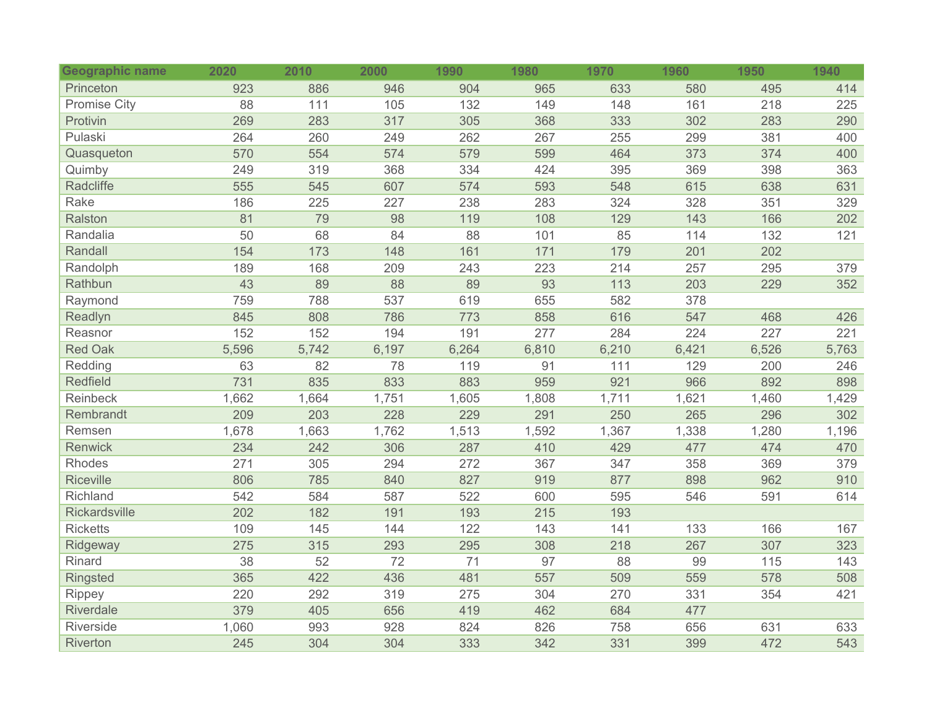| <b>Geographic name</b> | 2020  | 2010  | 2000  | 1990  | 1980  | 1970  | 1960  | 1950  | 1940  |
|------------------------|-------|-------|-------|-------|-------|-------|-------|-------|-------|
| Princeton              | 923   | 886   | 946   | 904   | 965   | 633   | 580   | 495   | 414   |
| <b>Promise City</b>    | 88    | 111   | 105   | 132   | 149   | 148   | 161   | 218   | 225   |
| Protivin               | 269   | 283   | 317   | 305   | 368   | 333   | 302   | 283   | 290   |
| Pulaski                | 264   | 260   | 249   | 262   | 267   | 255   | 299   | 381   | 400   |
| Quasqueton             | 570   | 554   | 574   | 579   | 599   | 464   | 373   | 374   | 400   |
| Quimby                 | 249   | 319   | 368   | 334   | 424   | 395   | 369   | 398   | 363   |
| Radcliffe              | 555   | 545   | 607   | 574   | 593   | 548   | 615   | 638   | 631   |
| Rake                   | 186   | 225   | 227   | 238   | 283   | 324   | 328   | 351   | 329   |
| Ralston                | 81    | 79    | 98    | 119   | 108   | 129   | 143   | 166   | 202   |
| Randalia               | 50    | 68    | 84    | 88    | 101   | 85    | 114   | 132   | 121   |
| Randall                | 154   | 173   | 148   | 161   | 171   | 179   | 201   | 202   |       |
| Randolph               | 189   | 168   | 209   | 243   | 223   | 214   | 257   | 295   | 379   |
| Rathbun                | 43    | 89    | 88    | 89    | 93    | 113   | 203   | 229   | 352   |
| Raymond                | 759   | 788   | 537   | 619   | 655   | 582   | 378   |       |       |
| Readlyn                | 845   | 808   | 786   | 773   | 858   | 616   | 547   | 468   | 426   |
| Reasnor                | 152   | 152   | 194   | 191   | 277   | 284   | 224   | 227   | 221   |
| <b>Red Oak</b>         | 5,596 | 5,742 | 6,197 | 6,264 | 6,810 | 6,210 | 6,421 | 6,526 | 5,763 |
| Redding                | 63    | 82    | 78    | 119   | 91    | 111   | 129   | 200   | 246   |
| <b>Redfield</b>        | 731   | 835   | 833   | 883   | 959   | 921   | 966   | 892   | 898   |
| Reinbeck               | 1,662 | 1,664 | 1,751 | 1,605 | 1,808 | 1,711 | 1,621 | 1,460 | 1,429 |
| Rembrandt              | 209   | 203   | 228   | 229   | 291   | 250   | 265   | 296   | 302   |
| Remsen                 | 1,678 | 1,663 | 1,762 | 1,513 | 1,592 | 1,367 | 1,338 | 1,280 | 1,196 |
| <b>Renwick</b>         | 234   | 242   | 306   | 287   | 410   | 429   | 477   | 474   | 470   |
| Rhodes                 | 271   | 305   | 294   | 272   | 367   | 347   | 358   | 369   | 379   |
| <b>Riceville</b>       | 806   | 785   | 840   | 827   | 919   | 877   | 898   | 962   | 910   |
| Richland               | 542   | 584   | 587   | 522   | 600   | 595   | 546   | 591   | 614   |
| Rickardsville          | 202   | 182   | 191   | 193   | 215   | 193   |       |       |       |
| <b>Ricketts</b>        | 109   | 145   | 144   | 122   | 143   | 141   | 133   | 166   | 167   |
| Ridgeway               | 275   | 315   | 293   | 295   | 308   | 218   | 267   | 307   | 323   |
| Rinard                 | 38    | 52    | 72    | 71    | 97    | 88    | 99    | 115   | 143   |
| <b>Ringsted</b>        | 365   | 422   | 436   | 481   | 557   | 509   | 559   | 578   | 508   |
| Rippey                 | 220   | 292   | 319   | 275   | 304   | 270   | 331   | 354   | 421   |
| Riverdale              | 379   | 405   | 656   | 419   | 462   | 684   | 477   |       |       |
| Riverside              | 1,060 | 993   | 928   | 824   | 826   | 758   | 656   | 631   | 633   |
| Riverton               | 245   | 304   | 304   | 333   | 342   | 331   | 399   | 472   | 543   |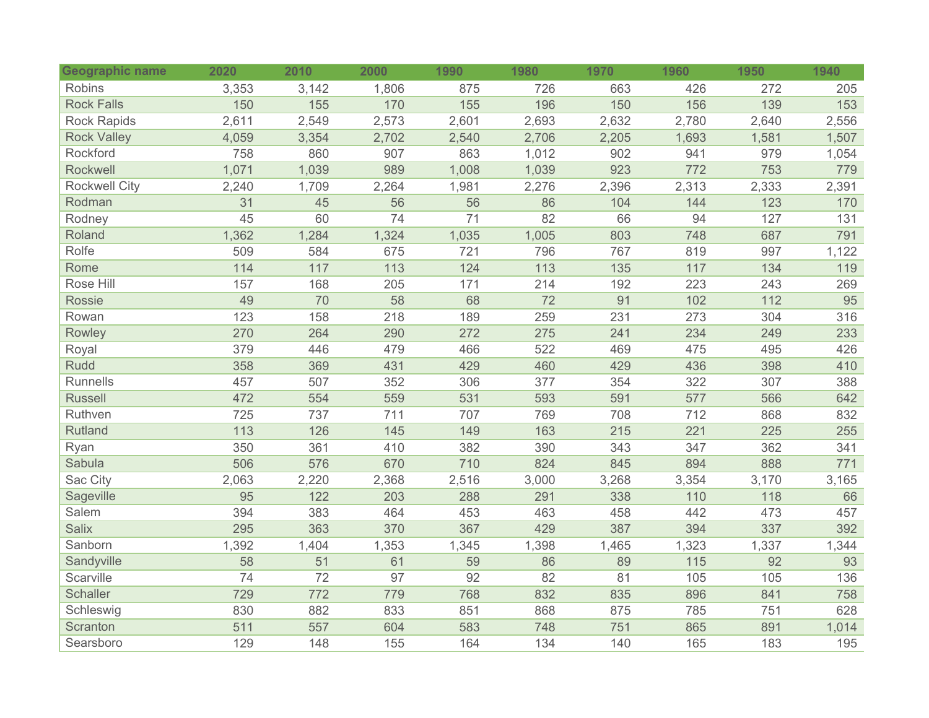| <b>Geographic name</b> | 2020  | 2010  | 2000  | 1990  | 1980  | 1970  | 1960  | 1950  | 1940  |
|------------------------|-------|-------|-------|-------|-------|-------|-------|-------|-------|
| Robins                 | 3,353 | 3,142 | 1,806 | 875   | 726   | 663   | 426   | 272   | 205   |
| <b>Rock Falls</b>      | 150   | 155   | 170   | 155   | 196   | 150   | 156   | 139   | 153   |
| Rock Rapids            | 2,611 | 2,549 | 2,573 | 2,601 | 2,693 | 2,632 | 2,780 | 2,640 | 2,556 |
| <b>Rock Valley</b>     | 4,059 | 3,354 | 2,702 | 2,540 | 2,706 | 2,205 | 1,693 | 1,581 | 1,507 |
| Rockford               | 758   | 860   | 907   | 863   | 1,012 | 902   | 941   | 979   | 1,054 |
| Rockwell               | 1,071 | 1,039 | 989   | 1,008 | 1,039 | 923   | 772   | 753   | 779   |
| <b>Rockwell City</b>   | 2,240 | 1,709 | 2,264 | 1,981 | 2,276 | 2,396 | 2,313 | 2,333 | 2,391 |
| Rodman                 | 31    | 45    | 56    | 56    | 86    | 104   | 144   | 123   | 170   |
| Rodney                 | 45    | 60    | 74    | 71    | 82    | 66    | 94    | 127   | 131   |
| Roland                 | 1,362 | 1,284 | 1,324 | 1,035 | 1,005 | 803   | 748   | 687   | 791   |
| Rolfe                  | 509   | 584   | 675   | 721   | 796   | 767   | 819   | 997   | 1,122 |
| Rome                   | 114   | $117$ | 113   | 124   | 113   | 135   | 117   | 134   | 119   |
| Rose Hill              | 157   | 168   | 205   | 171   | 214   | 192   | 223   | 243   | 269   |
| Rossie                 | 49    | 70    | 58    | 68    | 72    | 91    | 102   | 112   | 95    |
| Rowan                  | 123   | 158   | 218   | 189   | 259   | 231   | 273   | 304   | 316   |
| Rowley                 | 270   | 264   | 290   | 272   | 275   | 241   | 234   | 249   | 233   |
| Royal                  | 379   | 446   | 479   | 466   | 522   | 469   | 475   | 495   | 426   |
| <b>Rudd</b>            | 358   | 369   | 431   | 429   | 460   | 429   | 436   | 398   | 410   |
| Runnells               | 457   | 507   | 352   | 306   | 377   | 354   | 322   | 307   | 388   |
| <b>Russell</b>         | 472   | 554   | 559   | 531   | 593   | 591   | 577   | 566   | 642   |
| Ruthven                | 725   | 737   | 711   | 707   | 769   | 708   | 712   | 868   | 832   |
| Rutland                | 113   | 126   | 145   | 149   | 163   | 215   | 221   | 225   | 255   |
| Ryan                   | 350   | 361   | 410   | 382   | 390   | 343   | 347   | 362   | 341   |
| Sabula                 | 506   | 576   | 670   | 710   | 824   | 845   | 894   | 888   | 771   |
| Sac City               | 2,063 | 2,220 | 2,368 | 2,516 | 3,000 | 3,268 | 3,354 | 3,170 | 3,165 |
| Sageville              | 95    | 122   | 203   | 288   | 291   | 338   | 110   | 118   | 66    |
| Salem                  | 394   | 383   | 464   | 453   | 463   | 458   | 442   | 473   | 457   |
| <b>Salix</b>           | 295   | 363   | 370   | 367   | 429   | 387   | 394   | 337   | 392   |
| Sanborn                | 1,392 | 1,404 | 1,353 | 1,345 | 1,398 | 1,465 | 1,323 | 1,337 | 1,344 |
| Sandyville             | 58    | 51    | 61    | 59    | 86    | 89    | 115   | 92    | 93    |
| Scarville              | 74    | 72    | 97    | 92    | 82    | 81    | 105   | 105   | 136   |
| <b>Schaller</b>        | 729   | 772   | 779   | 768   | 832   | 835   | 896   | 841   | 758   |
| Schleswig              | 830   | 882   | 833   | 851   | 868   | 875   | 785   | 751   | 628   |
| Scranton               | 511   | 557   | 604   | 583   | 748   | 751   | 865   | 891   | 1,014 |
| Searsboro              | 129   | 148   | 155   | 164   | 134   | 140   | 165   | 183   | 195   |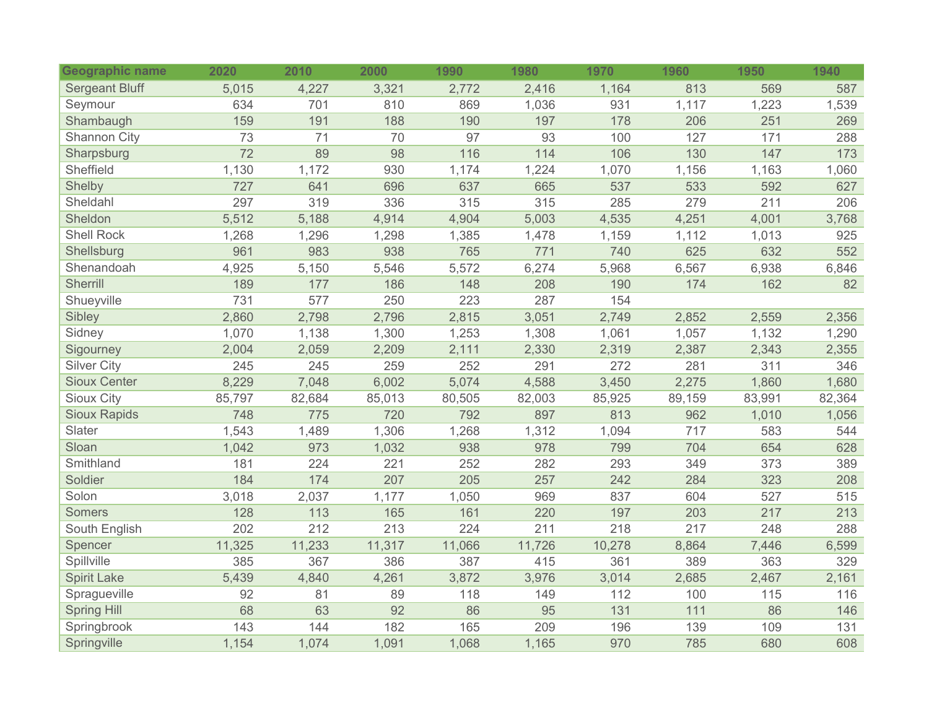| <b>Geographic name</b> | 2020   | 2010   | 2000   | 1990   | 1980   | 1970   | 1960   | 1950   | 1940   |
|------------------------|--------|--------|--------|--------|--------|--------|--------|--------|--------|
| <b>Sergeant Bluff</b>  | 5,015  | 4,227  | 3,321  | 2,772  | 2,416  | 1,164  | 813    | 569    | 587    |
| Seymour                | 634    | 701    | 810    | 869    | 1,036  | 931    | 1,117  | 1,223  | 1,539  |
| Shambaugh              | 159    | 191    | 188    | 190    | 197    | 178    | 206    | 251    | 269    |
| Shannon City           | 73     | 71     | 70     | 97     | 93     | 100    | 127    | 171    | 288    |
| Sharpsburg             | 72     | 89     | 98     | 116    | 114    | 106    | 130    | 147    | 173    |
| Sheffield              | 1,130  | 1,172  | 930    | 1,174  | 1,224  | 1,070  | 1,156  | 1,163  | 1,060  |
| Shelby                 | 727    | 641    | 696    | 637    | 665    | 537    | 533    | 592    | 627    |
| Sheldahl               | 297    | 319    | 336    | 315    | 315    | 285    | 279    | 211    | 206    |
| Sheldon                | 5,512  | 5,188  | 4,914  | 4,904  | 5,003  | 4,535  | 4,251  | 4,001  | 3,768  |
| <b>Shell Rock</b>      | 1,268  | 1,296  | 1,298  | 1,385  | 1,478  | 1,159  | 1,112  | 1,013  | 925    |
| Shellsburg             | 961    | 983    | 938    | 765    | 771    | 740    | 625    | 632    | 552    |
| Shenandoah             | 4,925  | 5,150  | 5,546  | 5,572  | 6,274  | 5,968  | 6,567  | 6,938  | 6,846  |
| Sherrill               | 189    | 177    | 186    | 148    | 208    | 190    | 174    | 162    | 82     |
| Shueyville             | 731    | 577    | 250    | 223    | 287    | 154    |        |        |        |
| Sibley                 | 2,860  | 2,798  | 2,796  | 2,815  | 3,051  | 2,749  | 2,852  | 2,559  | 2,356  |
| Sidney                 | 1,070  | 1,138  | 1,300  | 1,253  | 1,308  | 1,061  | 1,057  | 1,132  | 1,290  |
| Sigourney              | 2,004  | 2,059  | 2,209  | 2,111  | 2,330  | 2,319  | 2,387  | 2,343  | 2,355  |
| <b>Silver City</b>     | 245    | 245    | 259    | 252    | 291    | 272    | 281    | 311    | 346    |
| <b>Sioux Center</b>    | 8,229  | 7,048  | 6,002  | 5,074  | 4,588  | 3,450  | 2,275  | 1,860  | 1,680  |
| <b>Sioux City</b>      | 85,797 | 82,684 | 85,013 | 80,505 | 82,003 | 85,925 | 89,159 | 83,991 | 82,364 |
| <b>Sioux Rapids</b>    | 748    | 775    | 720    | 792    | 897    | 813    | 962    | 1,010  | 1,056  |
| Slater                 | 1,543  | 1,489  | 1,306  | 1,268  | 1,312  | 1,094  | 717    | 583    | 544    |
| Sloan                  | 1,042  | 973    | 1,032  | 938    | 978    | 799    | 704    | 654    | 628    |
| Smithland              | 181    | 224    | 221    | 252    | 282    | 293    | 349    | 373    | 389    |
| Soldier                | 184    | 174    | 207    | 205    | 257    | 242    | 284    | 323    | 208    |
| Solon                  | 3,018  | 2,037  | 1,177  | 1,050  | 969    | 837    | 604    | 527    | 515    |
| <b>Somers</b>          | 128    | 113    | 165    | 161    | 220    | 197    | 203    | 217    | 213    |
| South English          | 202    | 212    | 213    | 224    | 211    | 218    | 217    | 248    | 288    |
| Spencer                | 11,325 | 11,233 | 11,317 | 11,066 | 11,726 | 10,278 | 8,864  | 7,446  | 6,599  |
| Spillville             | 385    | 367    | 386    | 387    | 415    | 361    | 389    | 363    | 329    |
| <b>Spirit Lake</b>     | 5,439  | 4,840  | 4,261  | 3,872  | 3,976  | 3,014  | 2,685  | 2,467  | 2,161  |
| Spragueville           | 92     | 81     | 89     | 118    | 149    | 112    | 100    | 115    | 116    |
| <b>Spring Hill</b>     | 68     | 63     | 92     | 86     | 95     | 131    | 111    | 86     | 146    |
| Springbrook            | 143    | 144    | 182    | 165    | 209    | 196    | 139    | 109    | 131    |
| Springville            | 1,154  | 1,074  | 1,091  | 1,068  | 1,165  | 970    | 785    | 680    | 608    |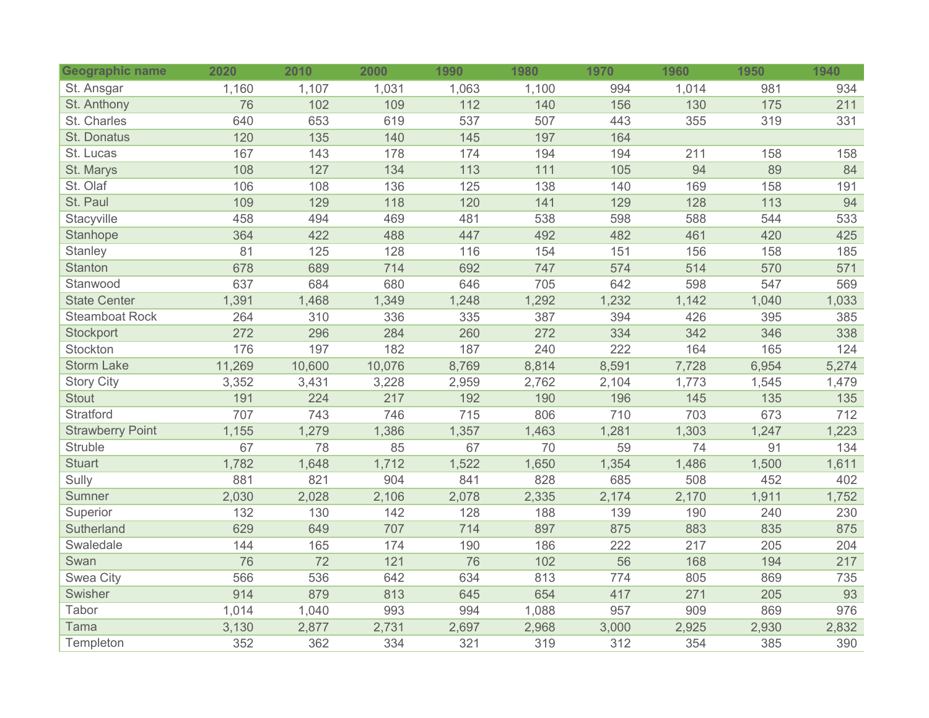| <b>Geographic name</b>  | 2020   | 2010   | 2000   | 1990  | 1980  | 1970  | 1960  | 1950  | 1940  |
|-------------------------|--------|--------|--------|-------|-------|-------|-------|-------|-------|
| St. Ansgar              | 1,160  | 1,107  | 1,031  | 1,063 | 1,100 | 994   | 1,014 | 981   | 934   |
| St. Anthony             | 76     | 102    | 109    | 112   | 140   | 156   | 130   | 175   | 211   |
| St. Charles             | 640    | 653    | 619    | 537   | 507   | 443   | 355   | 319   | 331   |
| St. Donatus             | 120    | 135    | 140    | 145   | 197   | 164   |       |       |       |
| St. Lucas               | 167    | 143    | 178    | 174   | 194   | 194   | 211   | 158   | 158   |
| St. Marys               | 108    | 127    | 134    | 113   | 111   | 105   | 94    | 89    | 84    |
| St. Olaf                | 106    | 108    | 136    | 125   | 138   | 140   | 169   | 158   | 191   |
| St. Paul                | 109    | 129    | 118    | 120   | 141   | 129   | 128   | 113   | 94    |
| Stacyville              | 458    | 494    | 469    | 481   | 538   | 598   | 588   | 544   | 533   |
| Stanhope                | 364    | 422    | 488    | 447   | 492   | 482   | 461   | 420   | 425   |
| Stanley                 | 81     | 125    | 128    | 116   | 154   | 151   | 156   | 158   | 185   |
| <b>Stanton</b>          | 678    | 689    | 714    | 692   | 747   | 574   | 514   | 570   | 571   |
| Stanwood                | 637    | 684    | 680    | 646   | 705   | 642   | 598   | 547   | 569   |
| <b>State Center</b>     | 1,391  | 1,468  | 1,349  | 1,248 | 1,292 | 1,232 | 1,142 | 1,040 | 1,033 |
| <b>Steamboat Rock</b>   | 264    | 310    | 336    | 335   | 387   | 394   | 426   | 395   | 385   |
| Stockport               | 272    | 296    | 284    | 260   | 272   | 334   | 342   | 346   | 338   |
| Stockton                | 176    | 197    | 182    | 187   | 240   | 222   | 164   | 165   | 124   |
| <b>Storm Lake</b>       | 11,269 | 10,600 | 10,076 | 8,769 | 8,814 | 8,591 | 7,728 | 6,954 | 5,274 |
| <b>Story City</b>       | 3,352  | 3,431  | 3,228  | 2,959 | 2,762 | 2,104 | 1,773 | 1,545 | 1,479 |
| <b>Stout</b>            | 191    | 224    | 217    | 192   | 190   | 196   | 145   | 135   | 135   |
| Stratford               | 707    | 743    | 746    | 715   | 806   | 710   | 703   | 673   | 712   |
| <b>Strawberry Point</b> | 1,155  | 1,279  | 1,386  | 1,357 | 1,463 | 1,281 | 1,303 | 1,247 | 1,223 |
| <b>Struble</b>          | 67     | 78     | 85     | 67    | 70    | 59    | 74    | 91    | 134   |
| <b>Stuart</b>           | 1,782  | 1,648  | 1,712  | 1,522 | 1,650 | 1,354 | 1,486 | 1,500 | 1,611 |
| Sully                   | 881    | 821    | 904    | 841   | 828   | 685   | 508   | 452   | 402   |
| Sumner                  | 2,030  | 2,028  | 2,106  | 2,078 | 2,335 | 2,174 | 2,170 | 1,911 | 1,752 |
| Superior                | 132    | 130    | 142    | 128   | 188   | 139   | 190   | 240   | 230   |
| Sutherland              | 629    | 649    | 707    | 714   | 897   | 875   | 883   | 835   | 875   |
| Swaledale               | 144    | 165    | 174    | 190   | 186   | 222   | 217   | 205   | 204   |
| Swan                    | 76     | 72     | 121    | 76    | 102   | 56    | 168   | 194   | 217   |
| Swea City               | 566    | 536    | 642    | 634   | 813   | 774   | 805   | 869   | 735   |
| Swisher                 | 914    | 879    | 813    | 645   | 654   | 417   | 271   | 205   | 93    |
| Tabor                   | 1,014  | 1,040  | 993    | 994   | 1,088 | 957   | 909   | 869   | 976   |
| Tama                    | 3,130  | 2,877  | 2,731  | 2,697 | 2,968 | 3,000 | 2,925 | 2,930 | 2,832 |
| Templeton               | 352    | 362    | 334    | 321   | 319   | 312   | 354   | 385   | 390   |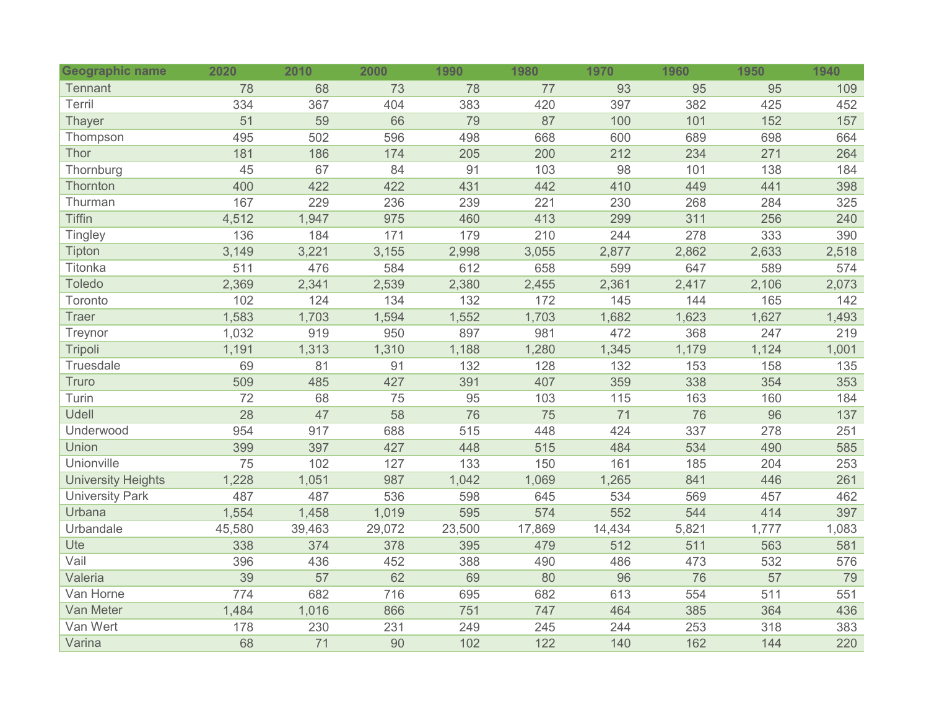| <b>Geographic name</b>    | 2020   | 2010   | 2000   | 1990   | 1980   | 1970   | 1960  | 1950  | 1940  |
|---------------------------|--------|--------|--------|--------|--------|--------|-------|-------|-------|
| <b>Tennant</b>            | 78     | 68     | 73     | 78     | 77     | 93     | 95    | 95    | 109   |
| Terril                    | 334    | 367    | 404    | 383    | 420    | 397    | 382   | 425   | 452   |
| <b>Thayer</b>             | 51     | 59     | 66     | 79     | 87     | 100    | 101   | 152   | 157   |
| Thompson                  | 495    | 502    | 596    | 498    | 668    | 600    | 689   | 698   | 664   |
| Thor                      | 181    | 186    | 174    | 205    | 200    | 212    | 234   | 271   | 264   |
| Thornburg                 | 45     | 67     | 84     | 91     | 103    | 98     | 101   | 138   | 184   |
| Thornton                  | 400    | 422    | 422    | 431    | 442    | 410    | 449   | 441   | 398   |
| Thurman                   | 167    | 229    | 236    | 239    | 221    | 230    | 268   | 284   | 325   |
| <b>Tiffin</b>             | 4,512  | 1,947  | 975    | 460    | 413    | 299    | 311   | 256   | 240   |
| <b>Tingley</b>            | 136    | 184    | 171    | 179    | 210    | 244    | 278   | 333   | 390   |
| Tipton                    | 3,149  | 3,221  | 3,155  | 2,998  | 3,055  | 2,877  | 2,862 | 2,633 | 2,518 |
| Titonka                   | 511    | 476    | 584    | 612    | 658    | 599    | 647   | 589   | 574   |
| Toledo                    | 2,369  | 2,341  | 2,539  | 2,380  | 2,455  | 2,361  | 2,417 | 2,106 | 2,073 |
| Toronto                   | 102    | 124    | 134    | 132    | 172    | 145    | 144   | 165   | 142   |
| <b>Traer</b>              | 1,583  | 1,703  | 1,594  | 1,552  | 1,703  | 1,682  | 1,623 | 1,627 | 1,493 |
| Treynor                   | 1,032  | 919    | 950    | 897    | 981    | 472    | 368   | 247   | 219   |
| Tripoli                   | 1,191  | 1,313  | 1,310  | 1,188  | 1,280  | 1,345  | 1,179 | 1,124 | 1,001 |
| Truesdale                 | 69     | 81     | 91     | 132    | 128    | 132    | 153   | 158   | 135   |
| Truro                     | 509    | 485    | 427    | 391    | 407    | 359    | 338   | 354   | 353   |
| Turin                     | 72     | 68     | 75     | 95     | 103    | 115    | 163   | 160   | 184   |
| Udell                     | 28     | 47     | 58     | 76     | 75     | 71     | 76    | 96    | 137   |
| Underwood                 | 954    | 917    | 688    | 515    | 448    | 424    | 337   | 278   | 251   |
| Union                     | 399    | 397    | 427    | 448    | 515    | 484    | 534   | 490   | 585   |
| Unionville                | 75     | 102    | 127    | 133    | 150    | 161    | 185   | 204   | 253   |
| <b>University Heights</b> | 1,228  | 1,051  | 987    | 1,042  | 1,069  | 1,265  | 841   | 446   | 261   |
| <b>University Park</b>    | 487    | 487    | 536    | 598    | 645    | 534    | 569   | 457   | 462   |
| Urbana                    | 1,554  | 1,458  | 1,019  | 595    | 574    | 552    | 544   | 414   | 397   |
| Urbandale                 | 45,580 | 39,463 | 29,072 | 23,500 | 17,869 | 14,434 | 5,821 | 1,777 | 1,083 |
| Ute                       | 338    | 374    | 378    | 395    | 479    | 512    | 511   | 563   | 581   |
| Vail                      | 396    | 436    | 452    | 388    | 490    | 486    | 473   | 532   | 576   |
| Valeria                   | 39     | 57     | 62     | 69     | 80     | 96     | 76    | 57    | 79    |
| Van Horne                 | 774    | 682    | 716    | 695    | 682    | 613    | 554   | 511   | 551   |
| Van Meter                 | 1,484  | 1,016  | 866    | 751    | 747    | 464    | 385   | 364   | 436   |
| Van Wert                  | 178    | 230    | 231    | 249    | 245    | 244    | 253   | 318   | 383   |
| Varina                    | 68     | 71     | 90     | 102    | 122    | 140    | 162   | 144   | 220   |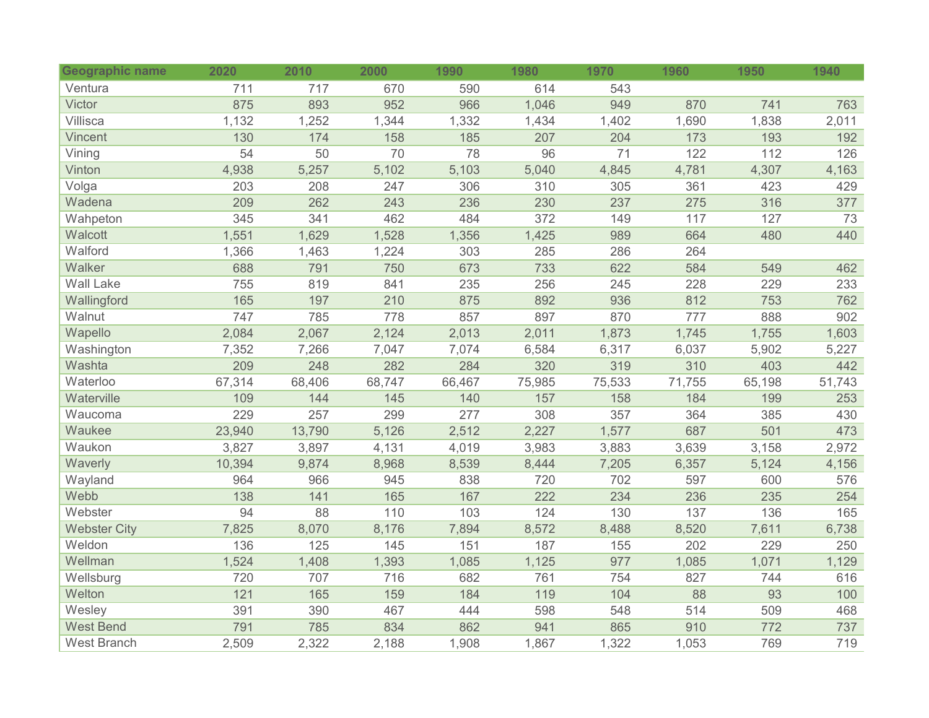| Geographic name     | 2020   | 2010   | 2000   | 1990   | 1980   | 1970   | 1960   | 1950   | 1940   |
|---------------------|--------|--------|--------|--------|--------|--------|--------|--------|--------|
| Ventura             | 711    | 717    | 670    | 590    | 614    | 543    |        |        |        |
| Victor              | 875    | 893    | 952    | 966    | 1,046  | 949    | 870    | 741    | 763    |
| Villisca            | 1,132  | 1,252  | 1,344  | 1,332  | 1,434  | 1,402  | 1,690  | 1,838  | 2,011  |
| Vincent             | 130    | 174    | 158    | 185    | 207    | 204    | 173    | 193    | 192    |
| Vining              | 54     | 50     | 70     | 78     | 96     | 71     | 122    | 112    | 126    |
| Vinton              | 4,938  | 5,257  | 5,102  | 5,103  | 5,040  | 4,845  | 4,781  | 4,307  | 4,163  |
| Volga               | 203    | 208    | 247    | 306    | 310    | 305    | 361    | 423    | 429    |
| Wadena              | 209    | 262    | 243    | 236    | 230    | 237    | 275    | 316    | 377    |
| Wahpeton            | 345    | 341    | 462    | 484    | 372    | 149    | 117    | 127    | 73     |
| Walcott             | 1,551  | 1,629  | 1,528  | 1,356  | 1,425  | 989    | 664    | 480    | 440    |
| Walford             | 1,366  | 1,463  | 1,224  | 303    | 285    | 286    | 264    |        |        |
| Walker              | 688    | 791    | 750    | 673    | 733    | 622    | 584    | 549    | 462    |
| <b>Wall Lake</b>    | 755    | 819    | 841    | 235    | 256    | 245    | 228    | 229    | 233    |
| Wallingford         | 165    | 197    | 210    | 875    | 892    | 936    | 812    | 753    | 762    |
| Walnut              | 747    | 785    | 778    | 857    | 897    | 870    | 777    | 888    | 902    |
| Wapello             | 2,084  | 2,067  | 2,124  | 2,013  | 2,011  | 1,873  | 1,745  | 1,755  | 1,603  |
| Washington          | 7,352  | 7,266  | 7,047  | 7,074  | 6,584  | 6,317  | 6,037  | 5,902  | 5,227  |
| Washta              | 209    | 248    | 282    | 284    | 320    | 319    | 310    | 403    | 442    |
| Waterloo            | 67,314 | 68,406 | 68,747 | 66,467 | 75,985 | 75,533 | 71,755 | 65,198 | 51,743 |
| Waterville          | 109    | 144    | 145    | 140    | 157    | 158    | 184    | 199    | 253    |
| Waucoma             | 229    | 257    | 299    | 277    | 308    | 357    | 364    | 385    | 430    |
| Waukee              | 23,940 | 13,790 | 5,126  | 2,512  | 2,227  | 1,577  | 687    | 501    | 473    |
| Waukon              | 3,827  | 3,897  | 4,131  | 4,019  | 3,983  | 3,883  | 3,639  | 3,158  | 2,972  |
| Waverly             | 10,394 | 9,874  | 8,968  | 8,539  | 8,444  | 7,205  | 6,357  | 5,124  | 4,156  |
| Wayland             | 964    | 966    | 945    | 838    | 720    | 702    | 597    | 600    | 576    |
| Webb                | 138    | 141    | 165    | 167    | 222    | 234    | 236    | 235    | 254    |
| Webster             | 94     | 88     | 110    | 103    | 124    | 130    | 137    | 136    | 165    |
| <b>Webster City</b> | 7,825  | 8,070  | 8,176  | 7,894  | 8,572  | 8,488  | 8,520  | 7,611  | 6,738  |
| Weldon              | 136    | 125    | 145    | 151    | 187    | 155    | 202    | 229    | 250    |
| Wellman             | 1,524  | 1,408  | 1,393  | 1,085  | 1,125  | 977    | 1,085  | 1,071  | 1,129  |
| Wellsburg           | 720    | 707    | 716    | 682    | 761    | 754    | 827    | 744    | 616    |
| Welton              | 121    | 165    | 159    | 184    | 119    | 104    | 88     | 93     | 100    |
| Wesley              | 391    | 390    | 467    | 444    | 598    | 548    | 514    | 509    | 468    |
| <b>West Bend</b>    | 791    | 785    | 834    | 862    | 941    | 865    | 910    | 772    | 737    |
| <b>West Branch</b>  | 2,509  | 2,322  | 2,188  | 1,908  | 1,867  | 1,322  | 1,053  | 769    | 719    |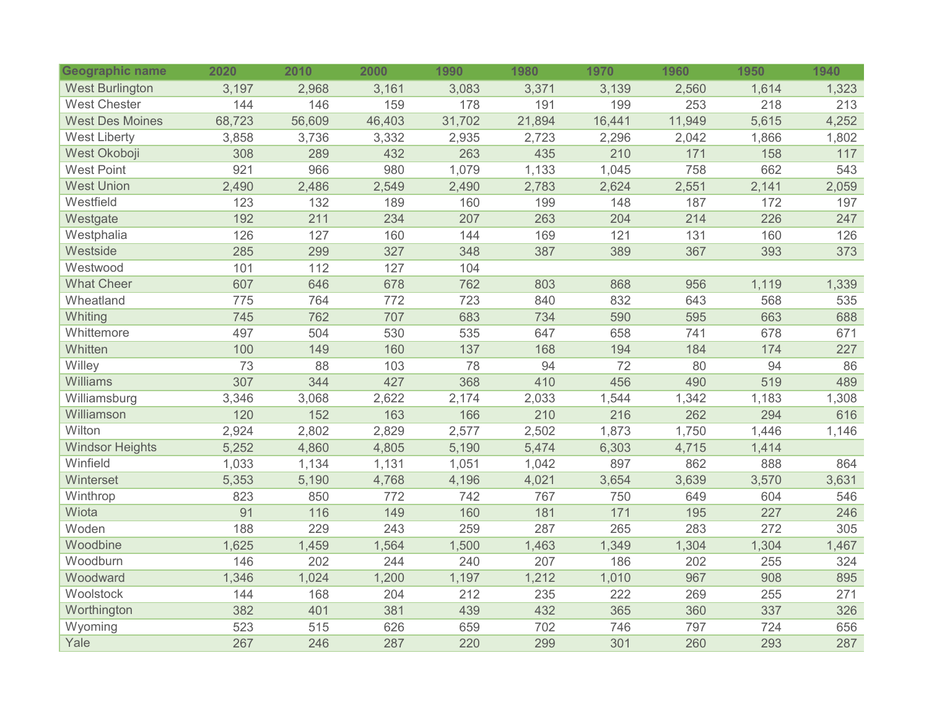| Geographic name        | 2020   | 2010   | 2000   | 1990   | 1980   | 1970   | 1960   | 1950  | 1940  |
|------------------------|--------|--------|--------|--------|--------|--------|--------|-------|-------|
| <b>West Burlington</b> | 3,197  | 2,968  | 3,161  | 3,083  | 3,371  | 3,139  | 2,560  | 1,614 | 1,323 |
| <b>West Chester</b>    | 144    | 146    | 159    | 178    | 191    | 199    | 253    | 218   | 213   |
| <b>West Des Moines</b> | 68,723 | 56,609 | 46,403 | 31,702 | 21,894 | 16,441 | 11,949 | 5,615 | 4,252 |
| <b>West Liberty</b>    | 3,858  | 3,736  | 3,332  | 2,935  | 2,723  | 2,296  | 2,042  | 1,866 | 1,802 |
| West Okoboji           | 308    | 289    | 432    | 263    | 435    | 210    | 171    | 158   | 117   |
| <b>West Point</b>      | 921    | 966    | 980    | 1,079  | 1,133  | 1,045  | 758    | 662   | 543   |
| <b>West Union</b>      | 2,490  | 2,486  | 2,549  | 2,490  | 2,783  | 2,624  | 2,551  | 2,141 | 2,059 |
| Westfield              | 123    | 132    | 189    | 160    | 199    | 148    | 187    | 172   | 197   |
| Westgate               | 192    | 211    | 234    | 207    | 263    | 204    | 214    | 226   | 247   |
| Westphalia             | 126    | 127    | 160    | 144    | 169    | 121    | 131    | 160   | 126   |
| Westside               | 285    | 299    | 327    | 348    | 387    | 389    | 367    | 393   | 373   |
| Westwood               | 101    | 112    | 127    | 104    |        |        |        |       |       |
| <b>What Cheer</b>      | 607    | 646    | 678    | 762    | 803    | 868    | 956    | 1,119 | 1,339 |
| Wheatland              | 775    | 764    | 772    | 723    | 840    | 832    | 643    | 568   | 535   |
| Whiting                | 745    | 762    | 707    | 683    | 734    | 590    | 595    | 663   | 688   |
| Whittemore             | 497    | 504    | 530    | 535    | 647    | 658    | 741    | 678   | 671   |
| Whitten                | 100    | 149    | 160    | 137    | 168    | 194    | 184    | 174   | 227   |
| Willey                 | 73     | 88     | 103    | 78     | 94     | 72     | 80     | 94    | 86    |
| Williams               | 307    | 344    | 427    | 368    | 410    | 456    | 490    | 519   | 489   |
| Williamsburg           | 3,346  | 3,068  | 2,622  | 2,174  | 2,033  | 1,544  | 1,342  | 1,183 | 1,308 |
| Williamson             | 120    | 152    | 163    | 166    | 210    | 216    | 262    | 294   | 616   |
| Wilton                 | 2,924  | 2,802  | 2,829  | 2,577  | 2,502  | 1,873  | 1,750  | 1,446 | 1,146 |
| <b>Windsor Heights</b> | 5,252  | 4,860  | 4,805  | 5,190  | 5,474  | 6,303  | 4,715  | 1,414 |       |
| Winfield               | 1,033  | 1,134  | 1,131  | 1,051  | 1,042  | 897    | 862    | 888   | 864   |
| Winterset              | 5,353  | 5,190  | 4,768  | 4,196  | 4,021  | 3,654  | 3,639  | 3,570 | 3,631 |
| Winthrop               | 823    | 850    | 772    | 742    | 767    | 750    | 649    | 604   | 546   |
| Wiota                  | 91     | 116    | 149    | 160    | 181    | 171    | 195    | 227   | 246   |
| Woden                  | 188    | 229    | 243    | 259    | 287    | 265    | 283    | 272   | 305   |
| Woodbine               | 1,625  | 1,459  | 1,564  | 1,500  | 1,463  | 1,349  | 1,304  | 1,304 | 1,467 |
| Woodburn               | 146    | 202    | 244    | 240    | 207    | 186    | 202    | 255   | 324   |
| Woodward               | 1,346  | 1,024  | 1,200  | 1,197  | 1,212  | 1,010  | 967    | 908   | 895   |
| Woolstock              | 144    | 168    | 204    | 212    | 235    | 222    | 269    | 255   | 271   |
| Worthington            | 382    | 401    | 381    | 439    | 432    | 365    | 360    | 337   | 326   |
| Wyoming                | 523    | 515    | 626    | 659    | 702    | 746    | 797    | 724   | 656   |
| Yale                   | 267    | 246    | 287    | 220    | 299    | 301    | 260    | 293   | 287   |